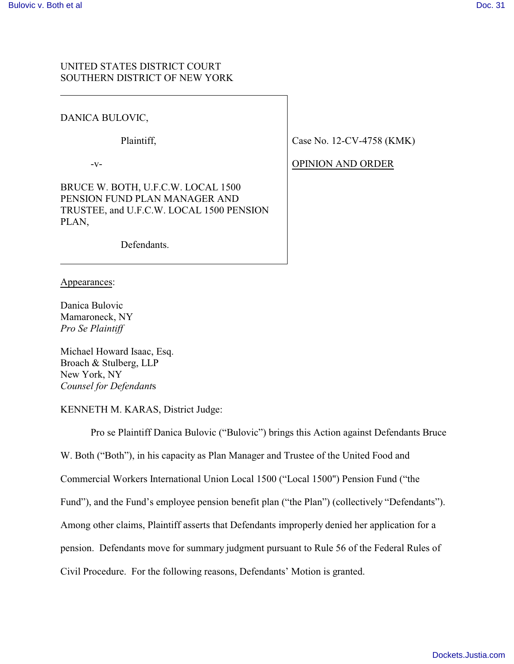# UNITED STATES DISTRICT COURT SOUTHERN DISTRICT OF NEW YORK

# DANICA BULOVIC,

Plaintiff,

 $-V-$ 

BRUCE W. BOTH, U.F.C.W. LOCAL 1500 PENSION FUND PLAN MANAGER AND TRUSTEE, and U.F.C.W. LOCAL 1500 PENSION PLAN,

Case No. 12-CV-4758 (KMK)

OPINION AND ORDER

Defendants.

Appearances:

Danica Bulovic Mamaroneck, NY *Pro Se Plaintiff*

Michael Howard Isaac, Esq. Broach & Stulberg, LLP New York, NY *Counsel for Defendant*s

KENNETH M. KARAS, District Judge:

Pro se Plaintiff Danica Bulovic ("Bulovic") brings this Action against Defendants Bruce

W. Both ("Both"), in his capacity as Plan Manager and Trustee of the United Food and

Commercial Workers International Union Local 1500 ("Local 1500") Pension Fund ("the

Fund"), and the Fund's employee pension benefit plan ("the Plan") (collectively "Defendants").

Among other claims, Plaintiff asserts that Defendants improperly denied her application for a

pension. Defendants move for summary judgment pursuant to Rule 56 of the Federal Rules of

Civil Procedure. For the following reasons, Defendants' Motion is granted.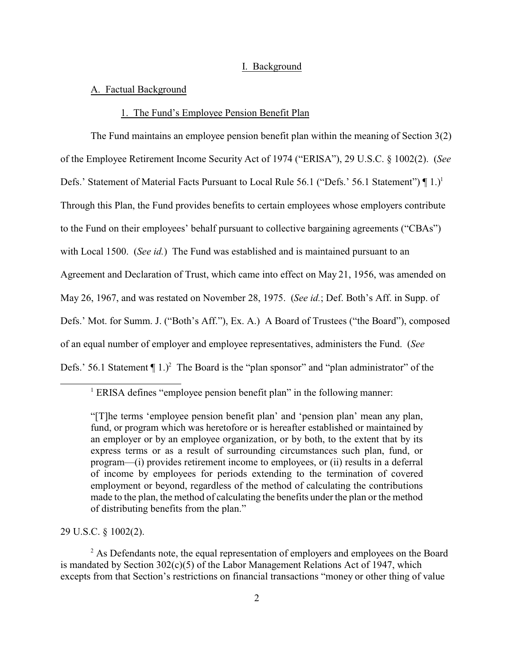#### I. Background

#### A. Factual Background

# 1. The Fund's Employee Pension Benefit Plan

The Fund maintains an employee pension benefit plan within the meaning of Section 3(2) of the Employee Retirement Income Security Act of 1974 ("ERISA"), 29 U.S.C. § 1002(2). (*See* Defs.' Statement of Material Facts Pursuant to Local Rule 56.1 ("Defs.' 56.1 Statement")  $\P$ 1.)<sup>1</sup> Through this Plan, the Fund provides benefits to certain employees whose employers contribute to the Fund on their employees' behalf pursuant to collective bargaining agreements ("CBAs") with Local 1500. (*See id.*) The Fund was established and is maintained pursuant to an Agreement and Declaration of Trust, which came into effect on May 21, 1956, was amended on May 26, 1967, and was restated on November 28, 1975. (*See id.*; Def. Both's Aff. in Supp. of Defs.' Mot. for Summ. J. ("Both's Aff."), Ex. A.) A Board of Trustees ("the Board"), composed of an equal number of employer and employee representatives, administers the Fund. (*See* Defs.' 56.1 Statement  $\P$  1.)<sup>2</sup> The Board is the "plan sponsor" and "plan administrator" of the

29 U.S.C. § 1002(2).

 $2^2$  As Defendants note, the equal representation of employers and employees on the Board is mandated by Section 302(c)(5) of the Labor Management Relations Act of 1947, which excepts from that Section's restrictions on financial transactions "money or other thing of value

<sup>&</sup>lt;sup>1</sup> ERISA defines "employee pension benefit plan" in the following manner:

<sup>&</sup>quot;[T]he terms 'employee pension benefit plan' and 'pension plan' mean any plan, fund, or program which was heretofore or is hereafter established or maintained by an employer or by an employee organization, or by both, to the extent that by its express terms or as a result of surrounding circumstances such plan, fund, or program—(i) provides retirement income to employees, or (ii) results in a deferral of income by employees for periods extending to the termination of covered employment or beyond, regardless of the method of calculating the contributions made to the plan, the method of calculating the benefits under the plan or the method of distributing benefits from the plan."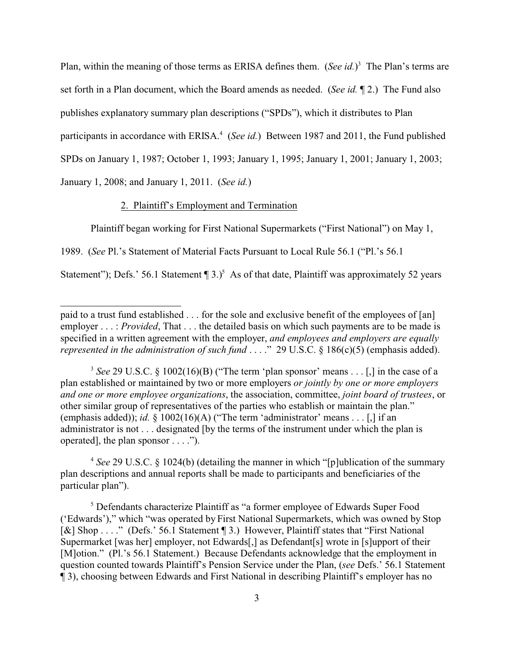Plan, within the meaning of those terms as ERISA defines them. (*See id.*)<sup>3</sup> The Plan's terms are set forth in a Plan document, which the Board amends as needed. (*See id.* ¶ 2.) The Fund also publishes explanatory summary plan descriptions ("SPDs"), which it distributes to Plan participants in accordance with ERISA.<sup>4</sup> (*See id.*) Between 1987 and 2011, the Fund published SPDs on January 1, 1987; October 1, 1993; January 1, 1995; January 1, 2001; January 1, 2003; January 1, 2008; and January 1, 2011. (*See id.*)

# 2. Plaintiff's Employment and Termination

Plaintiff began working for First National Supermarkets ("First National") on May 1,

1989. (*See* Pl.'s Statement of Material Facts Pursuant to Local Rule 56.1 ("Pl.'s 56.1

Statement"); Defs.' 56.1 Statement  $\P$  3.)<sup>5</sup> As of that date, Plaintiff was approximately 52 years

4 *See* 29 U.S.C. § 1024(b) (detailing the manner in which "[p]ublication of the summary plan descriptions and annual reports shall be made to participants and beneficiaries of the particular plan").

<sup>5</sup> Defendants characterize Plaintiff as "a former employee of Edwards Super Food ('Edwards')," which "was operated by First National Supermarkets, which was owned by Stop [&] Shop . . . ." (Defs.' 56.1 Statement ¶ 3.) However, Plaintiff states that "First National" Supermarket [was her] employer, not Edwards[,] as Defendant[s] wrote in [s]upport of their [M]otion." (Pl.'s 56.1 Statement.) Because Defendants acknowledge that the employment in question counted towards Plaintiff's Pension Service under the Plan, (*see* Defs.' 56.1 Statement ¶ 3), choosing between Edwards and First National in describing Plaintiff's employer has no

paid to a trust fund established . . . for the sole and exclusive benefit of the employees of [an] employer . . . : *Provided*, That . . . the detailed basis on which such payments are to be made is specified in a written agreement with the employer, *and employees and employers are equally represented in the administration of such fund* . . . ." 29 U.S.C. § 186(c)(5) (emphasis added).

<sup>&</sup>lt;sup>3</sup> See 29 U.S.C. § 1002(16)(B) ("The term 'plan sponsor' means . . . [,] in the case of a plan established or maintained by two or more employers *or jointly by one or more employers and one or more employee organizations*, the association, committee, *joint board of trustees*, or other similar group of representatives of the parties who establish or maintain the plan." (emphasis added)); *id.*  $\frac{8}{3}$  1002(16)(A) ("The term 'administrator' means . . . [,] if an administrator is not . . . designated [by the terms of the instrument under which the plan is operated], the plan sponsor . . . .").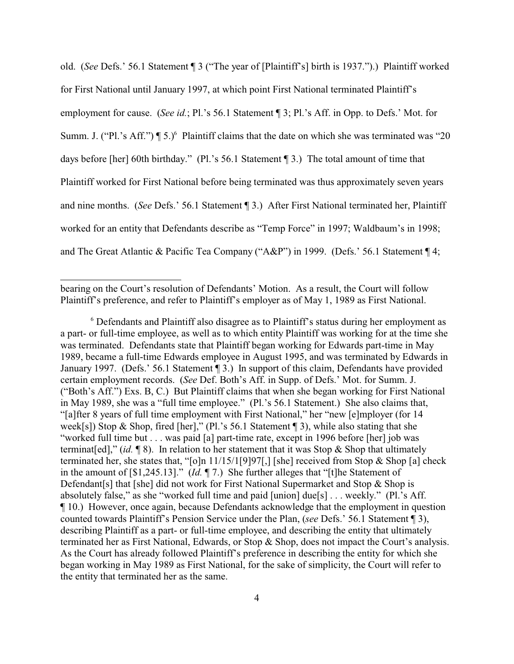old. (*See* Defs.' 56.1 Statement ¶ 3 ("The year of [Plaintiff's] birth is 1937.").) Plaintiff worked for First National until January 1997, at which point First National terminated Plaintiff's employment for cause. (*See id.*; Pl.'s 56.1 Statement ¶ 3; Pl.'s Aff. in Opp. to Defs.' Mot. for Summ. J. ("Pl.'s Aff.")  $\P$  5.)<sup>6</sup> Plaintiff claims that the date on which she was terminated was "20 days before [her] 60th birthday." (Pl.'s 56.1 Statement ¶ 3.) The total amount of time that Plaintiff worked for First National before being terminated was thus approximately seven years and nine months. (*See* Defs.' 56.1 Statement ¶ 3.) After First National terminated her, Plaintiff worked for an entity that Defendants describe as "Temp Force" in 1997; Waldbaum's in 1998; and The Great Atlantic & Pacific Tea Company ("A&P") in 1999. (Defs.' 56.1 Statement ¶ 4;

bearing on the Court's resolution of Defendants' Motion. As a result, the Court will follow Plaintiff's preference, and refer to Plaintiff's employer as of May 1, 1989 as First National.

<sup>6</sup> Defendants and Plaintiff also disagree as to Plaintiff's status during her employment as a part- or full-time employee, as well as to which entity Plaintiff was working for at the time she was terminated. Defendants state that Plaintiff began working for Edwards part-time in May 1989, became a full-time Edwards employee in August 1995, and was terminated by Edwards in January 1997. (Defs.' 56.1 Statement ¶ 3.) In support of this claim, Defendants have provided certain employment records. (*See* Def. Both's Aff. in Supp. of Defs.' Mot. for Summ. J. ("Both's Aff.") Exs. B, C.) But Plaintiff claims that when she began working for First National in May 1989, she was a "full time employee." (Pl.'s 56.1 Statement.) She also claims that, "[a]fter 8 years of full time employment with First National," her "new [e]mployer (for 14 week[s]) Stop & Shop, fired [her]," (Pl.'s 56.1 Statement  $\P$  3), while also stating that she "worked full time but . . . was paid [a] part-time rate, except in 1996 before [her] job was terminat[ed]," (*id.* ¶ 8). In relation to her statement that it was Stop & Shop that ultimately terminated her, she states that, "[o]n 11/15/1[9]97[,] [she] received from Stop & Shop [a] check in the amount of [\$1,245.13]." (*Id.* ¶ 7.) She further alleges that "[t]he Statement of Defendant[s] that [she] did not work for First National Supermarket and Stop & Shop is absolutely false," as she "worked full time and paid [union] due[s] . . . weekly." (Pl.'s Aff. ¶ 10.) However, once again, because Defendants acknowledge that the employment in question counted towards Plaintiff's Pension Service under the Plan, (*see* Defs.' 56.1 Statement ¶ 3), describing Plaintiff as a part- or full-time employee, and describing the entity that ultimately terminated her as First National, Edwards, or Stop & Shop, does not impact the Court's analysis. As the Court has already followed Plaintiff's preference in describing the entity for which she began working in May 1989 as First National, for the sake of simplicity, the Court will refer to the entity that terminated her as the same.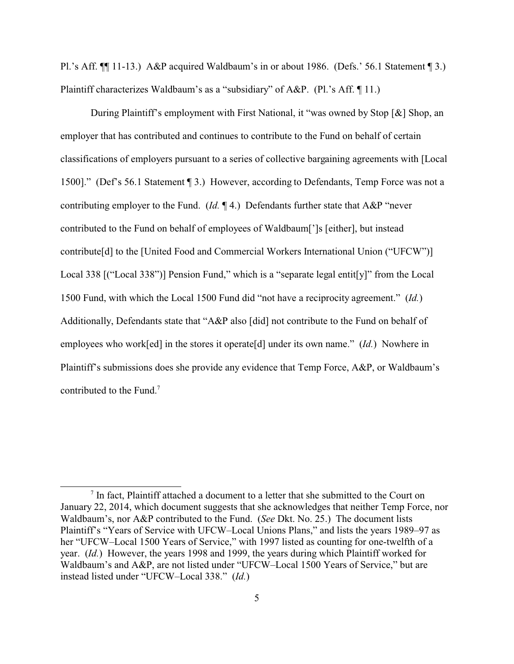Pl.'s Aff. ¶¶ 11-13.) A&P acquired Waldbaum's in or about 1986. (Defs.' 56.1 Statement ¶ 3.) Plaintiff characterizes Waldbaum's as a "subsidiary" of A&P. (Pl.'s Aff. ¶ 11.)

During Plaintiff's employment with First National, it "was owned by Stop [&] Shop, an employer that has contributed and continues to contribute to the Fund on behalf of certain classifications of employers pursuant to a series of collective bargaining agreements with [Local 1500]." (Def's 56.1 Statement ¶ 3.) However, according to Defendants, Temp Force was not a contributing employer to the Fund. (*Id.* ¶ 4.) Defendants further state that A&P "never contributed to the Fund on behalf of employees of Waldbaum[']s [either], but instead contribute[d] to the [United Food and Commercial Workers International Union ("UFCW")] Local 338 [("Local 338")] Pension Fund," which is a "separate legal entit[y]" from the Local 1500 Fund, with which the Local 1500 Fund did "not have a reciprocity agreement." (*Id.*) Additionally, Defendants state that "A&P also [did] not contribute to the Fund on behalf of employees who work[ed] in the stores it operate[d] under its own name." (*Id.*) Nowhere in Plaintiff's submissions does she provide any evidence that Temp Force, A&P, or Waldbaum's contributed to the Fund.<sup>7</sup>

 $<sup>7</sup>$  In fact, Plaintiff attached a document to a letter that she submitted to the Court on</sup> January 22, 2014, which document suggests that she acknowledges that neither Temp Force, nor Waldbaum's, nor A&P contributed to the Fund. (*See* Dkt. No. 25.) The document lists Plaintiff's "Years of Service with UFCW–Local Unions Plans," and lists the years 1989–97 as her "UFCW–Local 1500 Years of Service," with 1997 listed as counting for one-twelfth of a year. (*Id.*) However, the years 1998 and 1999, the years during which Plaintiff worked for Waldbaum's and A&P, are not listed under "UFCW–Local 1500 Years of Service," but are instead listed under "UFCW–Local 338." (*Id.*)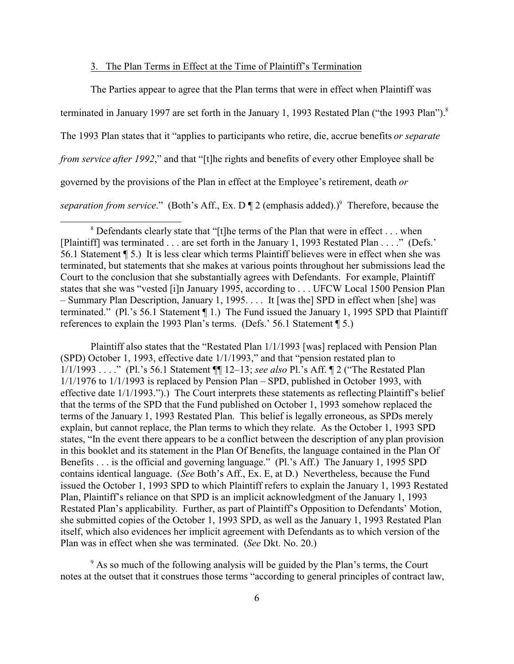### 3. The Plan Terms in Effect at the Time of Plaintiff's Termination

The Parties appear to agree that the Plan terms that were in effect when Plaintiff was terminated in January 1997 are set forth in the January 1, 1993 Restated Plan ("the 1993 Plan").<sup>8</sup> The 1993 Plan states that it "applies to participants who retire, die, accrue benefits *or separate from service after 1992*," and that "[t]he rights and benefits of every other Employee shall be governed by the provisions of the Plan in effect at the Employee's retirement, death *or* separation from service." (Both's Aff., Ex. D | 2 (emphasis added).)<sup>9</sup> Therefore, because the

Plaintiff also states that the "Restated Plan 1/1/1993 [was] replaced with Pension Plan (SPD) October 1, 1993, effective date 1/1/1993," and that "pension restated plan to 1/1/1993 . . . ." (Pl.'s 56.1 Statement ¶¶ 12–13; *see also* Pl.'s Aff. ¶ 2 ("The Restated Plan 1/1/1976 to 1/1/1993 is replaced by Pension Plan – SPD, published in October 1993, with effective date 1/1/1993.").) The Court interprets these statements as reflecting Plaintiff's belief that the terms of the SPD that the Fund published on October 1, 1993 somehow replaced the terms of the January 1, 1993 Restated Plan. This belief is legally erroneous, as SPDs merely explain, but cannot replace, the Plan terms to which they relate. As the October 1, 1993 SPD states, "In the event there appears to be a conflict between the description of any plan provision in this booklet and its statement in the Plan Of Benefits, the language contained in the Plan Of Benefits . . . is the official and governing language." (Pl.'s Aff.) The January 1, 1995 SPD contains identical language. (*See* Both's Aff., Ex. E, at D.) Nevertheless, because the Fund issued the October 1, 1993 SPD to which Plaintiff refers to explain the January 1, 1993 Restated Plan, Plaintiff's reliance on that SPD is an implicit acknowledgment of the January 1, 1993 Restated Plan's applicability. Further, as part of Plaintiff's Opposition to Defendants' Motion, she submitted copies of the October 1, 1993 SPD, as well as the January 1, 1993 Restated Plan itself, which also evidences her implicit agreement with Defendants as to which version of the Plan was in effect when she was terminated. (*See* Dkt. No. 20.)

<sup>9</sup> As so much of the following analysis will be guided by the Plan's terms, the Court notes at the outset that it construes those terms "according to general principles of contract law,

 $8$  Defendants clearly state that "[t]he terms of the Plan that were in effect . . . when [Plaintiff] was terminated . . . are set forth in the January 1, 1993 Restated Plan . . . ." (Defs.' 56.1 Statement ¶ 5.) It is less clear which terms Plaintiff believes were in effect when she was terminated, but statements that she makes at various points throughout her submissions lead the Court to the conclusion that she substantially agrees with Defendants. For example, Plaintiff states that she was "vested [i]n January 1995, according to . . . UFCW Local 1500 Pension Plan – Summary Plan Description, January 1, 1995. . . . It [was the] SPD in effect when [she] was terminated." (Pl.'s 56.1 Statement ¶ 1.) The Fund issued the January 1, 1995 SPD that Plaintiff references to explain the 1993 Plan's terms. (Defs.' 56.1 Statement ¶ 5.)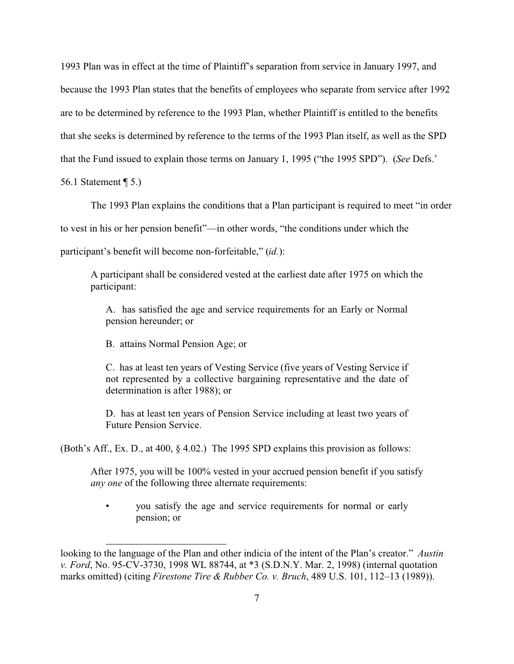1993 Plan was in effect at the time of Plaintiff's separation from service in January 1997, and because the 1993 Plan states that the benefits of employees who separate from service after 1992 are to be determined by reference to the 1993 Plan, whether Plaintiff is entitled to the benefits that she seeks is determined by reference to the terms of the 1993 Plan itself, as well as the SPD that the Fund issued to explain those terms on January 1, 1995 ("the 1995 SPD"). (*See* Defs.'

56.1 Statement ¶ 5.)

The 1993 Plan explains the conditions that a Plan participant is required to meet "in order

to vest in his or her pension benefit"—in other words, "the conditions under which the

participant's benefit will become non-forfeitable," (*id.*):

A participant shall be considered vested at the earliest date after 1975 on which the participant:

A. has satisfied the age and service requirements for an Early or Normal pension hereunder; or

B. attains Normal Pension Age; or

C. has at least ten years of Vesting Service (five years of Vesting Service if not represented by a collective bargaining representative and the date of determination is after 1988); or

D. has at least ten years of Pension Service including at least two years of Future Pension Service.

(Both's Aff., Ex. D., at 400, § 4.02.) The 1995 SPD explains this provision as follows:

After 1975, you will be 100% vested in your accrued pension benefit if you satisfy *any one* of the following three alternate requirements:

• you satisfy the age and service requirements for normal or early pension; or

looking to the language of the Plan and other indicia of the intent of the Plan's creator." *Austin v. Ford*, No. 95-CV-3730, 1998 WL 88744, at \*3 (S.D.N.Y. Mar. 2, 1998) (internal quotation marks omitted) (citing *Firestone Tire & Rubber Co. v. Bruch*, 489 U.S. 101, 112–13 (1989)).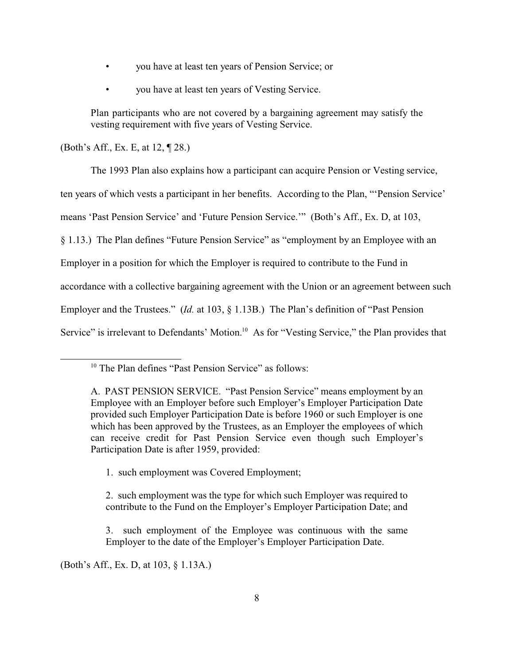- you have at least ten years of Pension Service; or
- you have at least ten years of Vesting Service.

Plan participants who are not covered by a bargaining agreement may satisfy the vesting requirement with five years of Vesting Service.

(Both's Aff., Ex. E, at 12, ¶ 28.)

The 1993 Plan also explains how a participant can acquire Pension or Vesting service,

ten years of which vests a participant in her benefits. According to the Plan, "'Pension Service'

means 'Past Pension Service' and 'Future Pension Service.'" (Both's Aff., Ex. D, at 103,

§ 1.13.) The Plan defines "Future Pension Service" as "employment by an Employee with an

Employer in a position for which the Employer is required to contribute to the Fund in

accordance with a collective bargaining agreement with the Union or an agreement between such

Employer and the Trustees." (*Id.* at 103, § 1.13B.) The Plan's definition of "Past Pension

Service" is irrelevant to Defendants' Motion.<sup>10</sup> As for "Vesting Service," the Plan provides that

- 1. such employment was Covered Employment;
- 2. such employment was the type for which such Employer was required to contribute to the Fund on the Employer's Employer Participation Date; and
- 3. such employment of the Employee was continuous with the same Employer to the date of the Employer's Employer Participation Date.

(Both's Aff., Ex. D, at 103, § 1.13A.)

<sup>&</sup>lt;sup>10</sup> The Plan defines "Past Pension Service" as follows:

A. PAST PENSION SERVICE. "Past Pension Service" means employment by an Employee with an Employer before such Employer's Employer Participation Date provided such Employer Participation Date is before 1960 or such Employer is one which has been approved by the Trustees, as an Employer the employees of which can receive credit for Past Pension Service even though such Employer's Participation Date is after 1959, provided: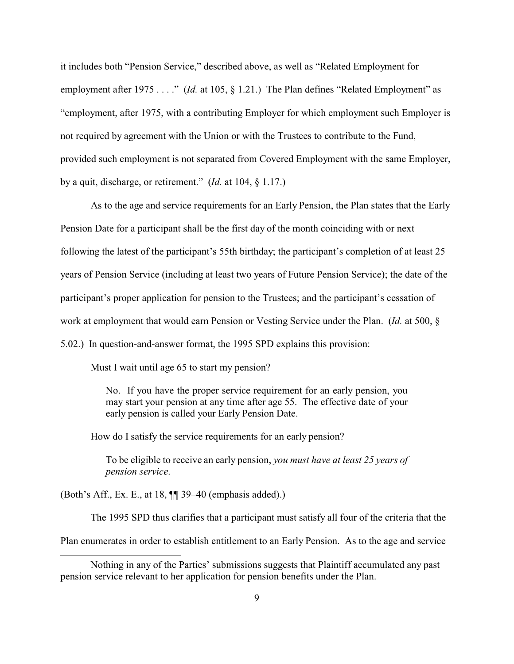it includes both "Pension Service," described above, as well as "Related Employment for employment after 1975 . . . ." *(Id.* at 105, § 1.21.) The Plan defines "Related Employment" as "employment, after 1975, with a contributing Employer for which employment such Employer is not required by agreement with the Union or with the Trustees to contribute to the Fund, provided such employment is not separated from Covered Employment with the same Employer, by a quit, discharge, or retirement." (*Id.* at 104, § 1.17.)

As to the age and service requirements for an Early Pension, the Plan states that the Early Pension Date for a participant shall be the first day of the month coinciding with or next following the latest of the participant's 55th birthday; the participant's completion of at least 25 years of Pension Service (including at least two years of Future Pension Service); the date of the participant's proper application for pension to the Trustees; and the participant's cessation of work at employment that would earn Pension or Vesting Service under the Plan. (*Id.* at 500, § 5.02.) In question-and-answer format, the 1995 SPD explains this provision:

Must I wait until age 65 to start my pension?

No. If you have the proper service requirement for an early pension, you may start your pension at any time after age 55. The effective date of your early pension is called your Early Pension Date.

How do I satisfy the service requirements for an early pension?

To be eligible to receive an early pension, *you must have at least 25 years of pension service*.

(Both's Aff., Ex. E., at 18, ¶¶ 39–40 (emphasis added).)

The 1995 SPD thus clarifies that a participant must satisfy all four of the criteria that the

Plan enumerates in order to establish entitlement to an Early Pension. As to the age and service

Nothing in any of the Parties' submissions suggests that Plaintiff accumulated any past pension service relevant to her application for pension benefits under the Plan.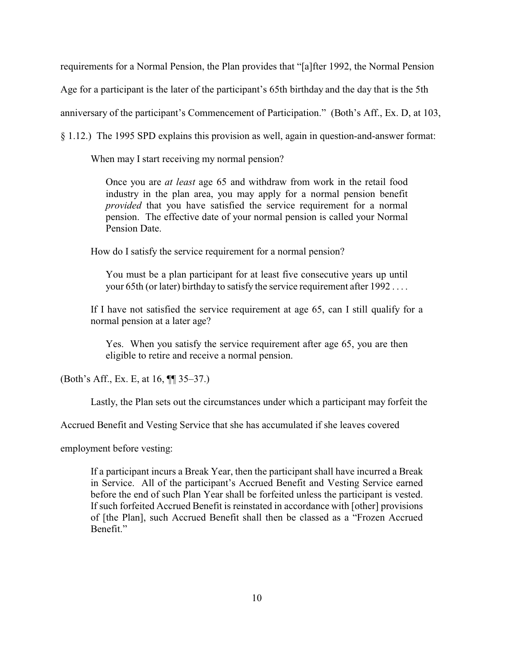requirements for a Normal Pension, the Plan provides that "[a]fter 1992, the Normal Pension

Age for a participant is the later of the participant's 65th birthday and the day that is the 5th

anniversary of the participant's Commencement of Participation." (Both's Aff., Ex. D, at 103,

§ 1.12.) The 1995 SPD explains this provision as well, again in question-and-answer format:

When may I start receiving my normal pension?

Once you are *at least* age 65 and withdraw from work in the retail food industry in the plan area, you may apply for a normal pension benefit *provided* that you have satisfied the service requirement for a normal pension. The effective date of your normal pension is called your Normal Pension Date.

How do I satisfy the service requirement for a normal pension?

You must be a plan participant for at least five consecutive years up until your 65th (or later) birthday to satisfy the service requirement after 1992 . . . .

If I have not satisfied the service requirement at age 65, can I still qualify for a normal pension at a later age?

Yes. When you satisfy the service requirement after age 65, you are then eligible to retire and receive a normal pension.

(Both's Aff., Ex. E, at 16, ¶¶ 35–37.)

Lastly, the Plan sets out the circumstances under which a participant may forfeit the

Accrued Benefit and Vesting Service that she has accumulated if she leaves covered

employment before vesting:

If a participant incurs a Break Year, then the participant shall have incurred a Break in Service. All of the participant's Accrued Benefit and Vesting Service earned before the end of such Plan Year shall be forfeited unless the participant is vested. If such forfeited Accrued Benefit is reinstated in accordance with [other] provisions of [the Plan], such Accrued Benefit shall then be classed as a "Frozen Accrued Benefit."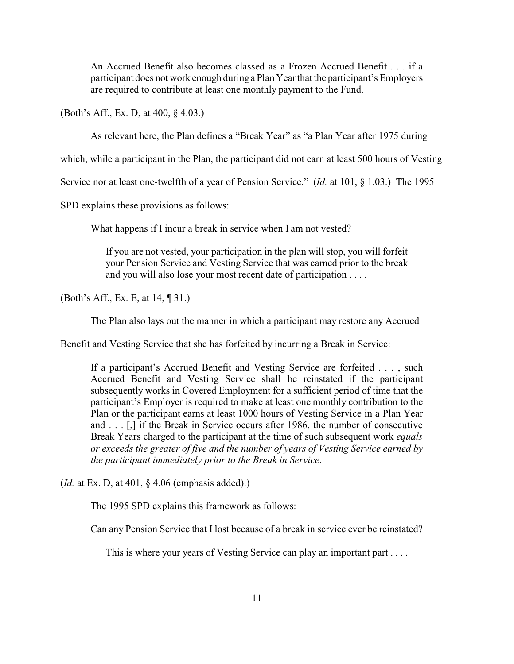An Accrued Benefit also becomes classed as a Frozen Accrued Benefit . . . if a participant does not work enough during a Plan Year that the participant's Employers are required to contribute at least one monthly payment to the Fund.

(Both's Aff., Ex. D, at 400, § 4.03.)

As relevant here, the Plan defines a "Break Year" as "a Plan Year after 1975 during

which, while a participant in the Plan, the participant did not earn at least 500 hours of Vesting

Service nor at least one-twelfth of a year of Pension Service." (*Id.* at 101, § 1.03.) The 1995

SPD explains these provisions as follows:

What happens if I incur a break in service when I am not vested?

If you are not vested, your participation in the plan will stop, you will forfeit your Pension Service and Vesting Service that was earned prior to the break and you will also lose your most recent date of participation . . . .

(Both's Aff., Ex. E, at 14, ¶ 31.)

The Plan also lays out the manner in which a participant may restore any Accrued

Benefit and Vesting Service that she has forfeited by incurring a Break in Service:

If a participant's Accrued Benefit and Vesting Service are forfeited . . . , such Accrued Benefit and Vesting Service shall be reinstated if the participant subsequently works in Covered Employment for a sufficient period of time that the participant's Employer is required to make at least one monthly contribution to the Plan or the participant earns at least 1000 hours of Vesting Service in a Plan Year and . . . [,] if the Break in Service occurs after 1986, the number of consecutive Break Years charged to the participant at the time of such subsequent work *equals or exceeds the greater of five and the number of years of Vesting Service earned by the participant immediately prior to the Break in Service*.

(*Id.* at Ex. D, at 401, § 4.06 (emphasis added).)

The 1995 SPD explains this framework as follows:

Can any Pension Service that I lost because of a break in service ever be reinstated?

This is where your years of Vesting Service can play an important part . . . .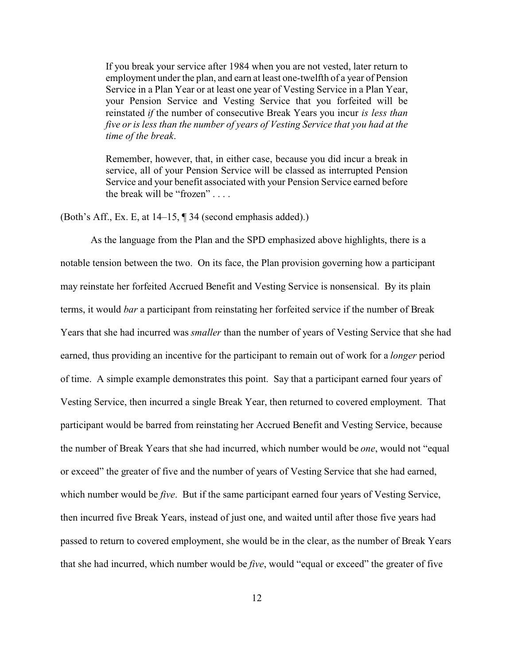If you break your service after 1984 when you are not vested, later return to employment under the plan, and earn at least one-twelfth of a year of Pension Service in a Plan Year or at least one year of Vesting Service in a Plan Year, your Pension Service and Vesting Service that you forfeited will be reinstated *if* the number of consecutive Break Years you incur *is less than five or is less than the number of years of Vesting Service that you had at the time of the break*.

Remember, however, that, in either case, because you did incur a break in service, all of your Pension Service will be classed as interrupted Pension Service and your benefit associated with your Pension Service earned before the break will be "frozen" . . . .

(Both's Aff., Ex. E, at 14–15, ¶ 34 (second emphasis added).)

As the language from the Plan and the SPD emphasized above highlights, there is a notable tension between the two. On its face, the Plan provision governing how a participant may reinstate her forfeited Accrued Benefit and Vesting Service is nonsensical. By its plain terms, it would *bar* a participant from reinstating her forfeited service if the number of Break Years that she had incurred was *smaller* than the number of years of Vesting Service that she had earned, thus providing an incentive for the participant to remain out of work for a *longer* period of time. A simple example demonstrates this point. Say that a participant earned four years of Vesting Service, then incurred a single Break Year, then returned to covered employment. That participant would be barred from reinstating her Accrued Benefit and Vesting Service, because the number of Break Years that she had incurred, which number would be *one*, would not "equal or exceed" the greater of five and the number of years of Vesting Service that she had earned, which number would be *five*. But if the same participant earned four years of Vesting Service, then incurred five Break Years, instead of just one, and waited until after those five years had passed to return to covered employment, she would be in the clear, as the number of Break Years that she had incurred, which number would be *five*, would "equal or exceed" the greater of five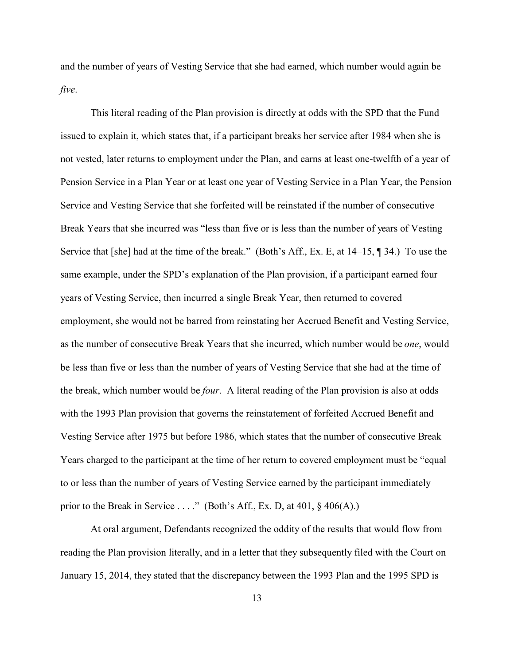and the number of years of Vesting Service that she had earned, which number would again be *five*.

This literal reading of the Plan provision is directly at odds with the SPD that the Fund issued to explain it, which states that, if a participant breaks her service after 1984 when she is not vested, later returns to employment under the Plan, and earns at least one-twelfth of a year of Pension Service in a Plan Year or at least one year of Vesting Service in a Plan Year, the Pension Service and Vesting Service that she forfeited will be reinstated if the number of consecutive Break Years that she incurred was "less than five or is less than the number of years of Vesting Service that [she] had at the time of the break." (Both's Aff., Ex. E, at 14–15, ¶ 34.) To use the same example, under the SPD's explanation of the Plan provision, if a participant earned four years of Vesting Service, then incurred a single Break Year, then returned to covered employment, she would not be barred from reinstating her Accrued Benefit and Vesting Service, as the number of consecutive Break Years that she incurred, which number would be *one*, would be less than five or less than the number of years of Vesting Service that she had at the time of the break, which number would be *four*. A literal reading of the Plan provision is also at odds with the 1993 Plan provision that governs the reinstatement of forfeited Accrued Benefit and Vesting Service after 1975 but before 1986, which states that the number of consecutive Break Years charged to the participant at the time of her return to covered employment must be "equal to or less than the number of years of Vesting Service earned by the participant immediately prior to the Break in Service . . . ." (Both's Aff., Ex. D, at  $401, \S$   $406(A)$ .)

At oral argument, Defendants recognized the oddity of the results that would flow from reading the Plan provision literally, and in a letter that they subsequently filed with the Court on January 15, 2014, they stated that the discrepancy between the 1993 Plan and the 1995 SPD is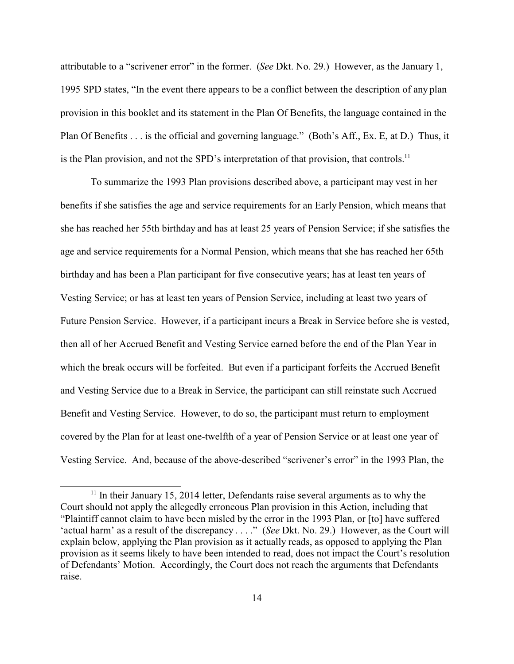attributable to a "scrivener error" in the former. (*See* Dkt. No. 29.) However, as the January 1, 1995 SPD states, "In the event there appears to be a conflict between the description of any plan provision in this booklet and its statement in the Plan Of Benefits, the language contained in the Plan Of Benefits . . . is the official and governing language." (Both's Aff., Ex. E, at D.) Thus, it is the Plan provision, and not the SPD's interpretation of that provision, that controls.<sup>11</sup>

To summarize the 1993 Plan provisions described above, a participant may vest in her benefits if she satisfies the age and service requirements for an Early Pension, which means that she has reached her 55th birthday and has at least 25 years of Pension Service; if she satisfies the age and service requirements for a Normal Pension, which means that she has reached her 65th birthday and has been a Plan participant for five consecutive years; has at least ten years of Vesting Service; or has at least ten years of Pension Service, including at least two years of Future Pension Service. However, if a participant incurs a Break in Service before she is vested, then all of her Accrued Benefit and Vesting Service earned before the end of the Plan Year in which the break occurs will be forfeited. But even if a participant forfeits the Accrued Benefit and Vesting Service due to a Break in Service, the participant can still reinstate such Accrued Benefit and Vesting Service. However, to do so, the participant must return to employment covered by the Plan for at least one-twelfth of a year of Pension Service or at least one year of Vesting Service. And, because of the above-described "scrivener's error" in the 1993 Plan, the

 $11$  In their January 15, 2014 letter, Defendants raise several arguments as to why the Court should not apply the allegedly erroneous Plan provision in this Action, including that "Plaintiff cannot claim to have been misled by the error in the 1993 Plan, or [to] have suffered 'actual harm' as a result of the discrepancy . . . ." (*See* Dkt. No. 29.) However, as the Court will explain below, applying the Plan provision as it actually reads, as opposed to applying the Plan provision as it seems likely to have been intended to read, does not impact the Court's resolution of Defendants' Motion. Accordingly, the Court does not reach the arguments that Defendants raise.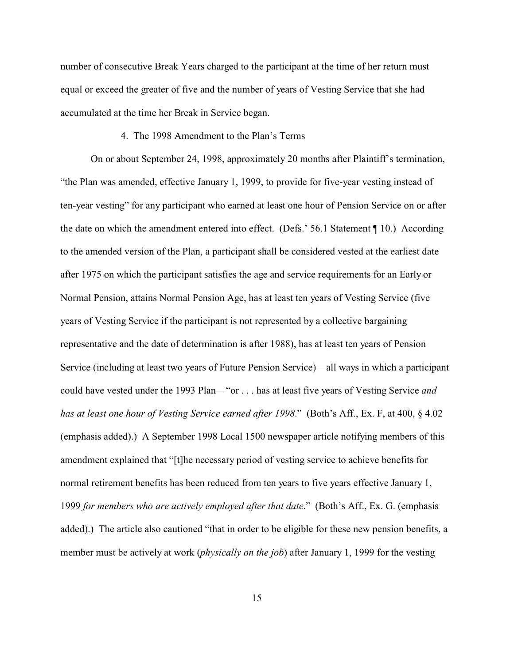number of consecutive Break Years charged to the participant at the time of her return must equal or exceed the greater of five and the number of years of Vesting Service that she had accumulated at the time her Break in Service began.

# 4. The 1998 Amendment to the Plan's Terms

On or about September 24, 1998, approximately 20 months after Plaintiff's termination, "the Plan was amended, effective January 1, 1999, to provide for five-year vesting instead of ten-year vesting" for any participant who earned at least one hour of Pension Service on or after the date on which the amendment entered into effect. (Defs.' 56.1 Statement ¶ 10.) According to the amended version of the Plan, a participant shall be considered vested at the earliest date after 1975 on which the participant satisfies the age and service requirements for an Early or Normal Pension, attains Normal Pension Age, has at least ten years of Vesting Service (five years of Vesting Service if the participant is not represented by a collective bargaining representative and the date of determination is after 1988), has at least ten years of Pension Service (including at least two years of Future Pension Service)—all ways in which a participant could have vested under the 1993 Plan—"or . . . has at least five years of Vesting Service *and has at least one hour of Vesting Service earned after 1998*." (Both's Aff., Ex. F, at 400, § 4.02 (emphasis added).) A September 1998 Local 1500 newspaper article notifying members of this amendment explained that "[t]he necessary period of vesting service to achieve benefits for normal retirement benefits has been reduced from ten years to five years effective January 1, 1999 *for members who are actively employed after that date*." (Both's Aff., Ex. G. (emphasis added).) The article also cautioned "that in order to be eligible for these new pension benefits, a member must be actively at work (*physically on the job*) after January 1, 1999 for the vesting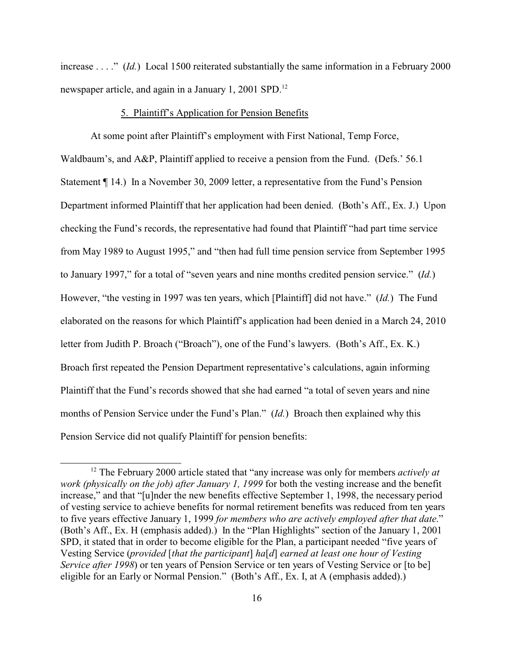increase . . . ." (*Id.*) Local 1500 reiterated substantially the same information in a February 2000 newspaper article, and again in a January 1, 2001 SPD.<sup>12</sup>

# 5. Plaintiff's Application for Pension Benefits

At some point after Plaintiff's employment with First National, Temp Force, Waldbaum's, and A&P, Plaintiff applied to receive a pension from the Fund. (Defs.' 56.1) Statement ¶ 14.) In a November 30, 2009 letter, a representative from the Fund's Pension Department informed Plaintiff that her application had been denied. (Both's Aff., Ex. J.) Upon checking the Fund's records, the representative had found that Plaintiff "had part time service from May 1989 to August 1995," and "then had full time pension service from September 1995 to January 1997," for a total of "seven years and nine months credited pension service." (*Id.*) However, "the vesting in 1997 was ten years, which [Plaintiff] did not have." (*Id.*) The Fund elaborated on the reasons for which Plaintiff's application had been denied in a March 24, 2010 letter from Judith P. Broach ("Broach"), one of the Fund's lawyers. (Both's Aff., Ex. K.) Broach first repeated the Pension Department representative's calculations, again informing Plaintiff that the Fund's records showed that she had earned "a total of seven years and nine months of Pension Service under the Fund's Plan." (*Id.*) Broach then explained why this Pension Service did not qualify Plaintiff for pension benefits:

<sup>12</sup> The February 2000 article stated that "any increase was only for members *actively at work (physically on the job) after January 1, 1999* for both the vesting increase and the benefit increase," and that "[u]nder the new benefits effective September 1, 1998, the necessary period of vesting service to achieve benefits for normal retirement benefits was reduced from ten years to five years effective January 1, 1999 *for members who are actively employed after that date*." (Both's Aff., Ex. H (emphasis added).) In the "Plan Highlights" section of the January 1, 2001 SPD, it stated that in order to become eligible for the Plan, a participant needed "five years of Vesting Service (*provided* [*that the participant*] *ha*[*d*] *earned at least one hour of Vesting Service after 1998*) or ten years of Pension Service or ten years of Vesting Service or [to be] eligible for an Early or Normal Pension." (Both's Aff., Ex. I, at A (emphasis added).)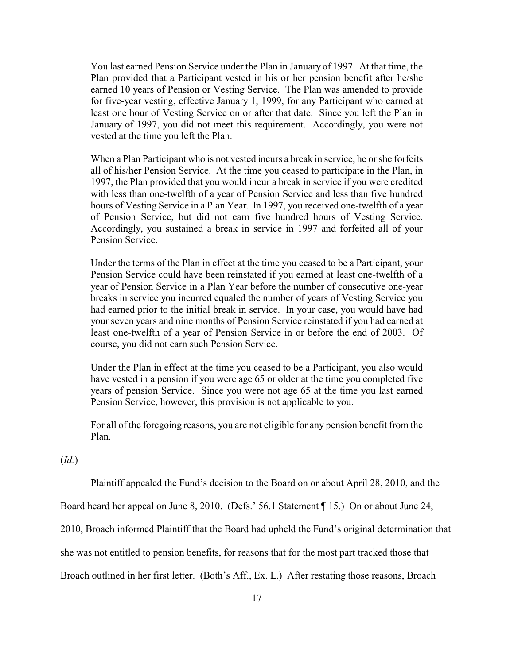You last earned Pension Service under the Plan in January of 1997. At that time, the Plan provided that a Participant vested in his or her pension benefit after he/she earned 10 years of Pension or Vesting Service. The Plan was amended to provide for five-year vesting, effective January 1, 1999, for any Participant who earned at least one hour of Vesting Service on or after that date. Since you left the Plan in January of 1997, you did not meet this requirement. Accordingly, you were not vested at the time you left the Plan.

When a Plan Participant who is not vested incurs a break in service, he or she forfeits all of his/her Pension Service. At the time you ceased to participate in the Plan, in 1997, the Plan provided that you would incur a break in service if you were credited with less than one-twelfth of a year of Pension Service and less than five hundred hours of Vesting Service in a Plan Year. In 1997, you received one-twelfth of a year of Pension Service, but did not earn five hundred hours of Vesting Service. Accordingly, you sustained a break in service in 1997 and forfeited all of your Pension Service.

Under the terms of the Plan in effect at the time you ceased to be a Participant, your Pension Service could have been reinstated if you earned at least one-twelfth of a year of Pension Service in a Plan Year before the number of consecutive one-year breaks in service you incurred equaled the number of years of Vesting Service you had earned prior to the initial break in service. In your case, you would have had your seven years and nine months of Pension Service reinstated if you had earned at least one-twelfth of a year of Pension Service in or before the end of 2003. Of course, you did not earn such Pension Service.

Under the Plan in effect at the time you ceased to be a Participant, you also would have vested in a pension if you were age 65 or older at the time you completed five years of pension Service. Since you were not age 65 at the time you last earned Pension Service, however, this provision is not applicable to you.

For all of the foregoing reasons, you are not eligible for any pension benefit from the Plan.

(*Id.*)

Plaintiff appealed the Fund's decision to the Board on or about April 28, 2010, and the

Board heard her appeal on June 8, 2010. (Defs.' 56.1 Statement ¶ 15.) On or about June 24,

2010, Broach informed Plaintiff that the Board had upheld the Fund's original determination that

she was not entitled to pension benefits, for reasons that for the most part tracked those that

Broach outlined in her first letter. (Both's Aff., Ex. L.) After restating those reasons, Broach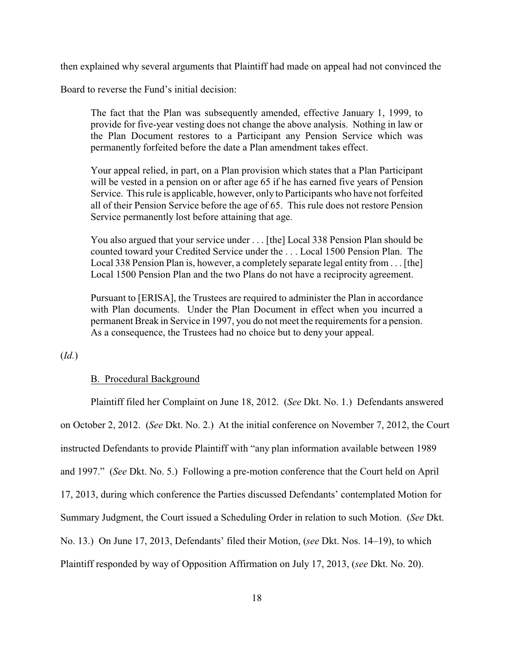then explained why several arguments that Plaintiff had made on appeal had not convinced the

Board to reverse the Fund's initial decision:

The fact that the Plan was subsequently amended, effective January 1, 1999, to provide for five-year vesting does not change the above analysis. Nothing in law or the Plan Document restores to a Participant any Pension Service which was permanently forfeited before the date a Plan amendment takes effect.

Your appeal relied, in part, on a Plan provision which states that a Plan Participant will be vested in a pension on or after age 65 if he has earned five years of Pension Service. This rule is applicable, however, only to Participants who have not forfeited all of their Pension Service before the age of 65. This rule does not restore Pension Service permanently lost before attaining that age.

You also argued that your service under . . . [the] Local 338 Pension Plan should be counted toward your Credited Service under the . . . Local 1500 Pension Plan. The Local 338 Pension Plan is, however, a completely separate legal entity from . . . [the] Local 1500 Pension Plan and the two Plans do not have a reciprocity agreement.

Pursuant to [ERISA], the Trustees are required to administer the Plan in accordance with Plan documents. Under the Plan Document in effect when you incurred a permanent Break in Service in 1997, you do not meet the requirements for a pension. As a consequence, the Trustees had no choice but to deny your appeal.

(*Id.*)

### B. Procedural Background

Plaintiff filed her Complaint on June 18, 2012. (*See* Dkt. No. 1.) Defendants answered on October 2, 2012. (*See* Dkt. No. 2.) At the initial conference on November 7, 2012, the Court instructed Defendants to provide Plaintiff with "any plan information available between 1989 and 1997." (*See* Dkt. No. 5.) Following a pre-motion conference that the Court held on April 17, 2013, during which conference the Parties discussed Defendants' contemplated Motion for Summary Judgment, the Court issued a Scheduling Order in relation to such Motion. (*See* Dkt. No. 13.) On June 17, 2013, Defendants' filed their Motion, (*see* Dkt. Nos. 14–19), to which Plaintiff responded by way of Opposition Affirmation on July 17, 2013, (*see* Dkt. No. 20).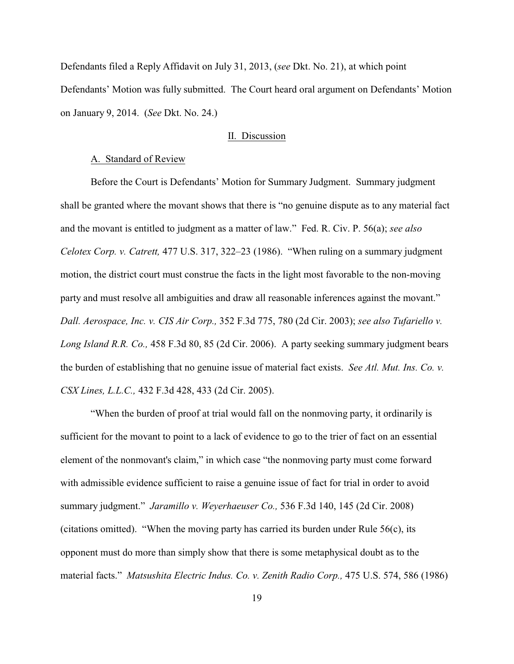Defendants filed a Reply Affidavit on July 31, 2013, (*see* Dkt. No. 21), at which point Defendants' Motion was fully submitted. The Court heard oral argument on Defendants' Motion on January 9, 2014. (*See* Dkt. No. 24.)

# II. Discussion

#### A. Standard of Review

Before the Court is Defendants' Motion for Summary Judgment. Summary judgment shall be granted where the movant shows that there is "no genuine dispute as to any material fact and the movant is entitled to judgment as a matter of law." Fed. R. Civ. P. 56(a); *see also Celotex Corp. v. Catrett,* 477 U.S. 317, 322–23 (1986). "When ruling on a summary judgment motion, the district court must construe the facts in the light most favorable to the non-moving party and must resolve all ambiguities and draw all reasonable inferences against the movant." *Dall. Aerospace, Inc. v. CIS Air Corp.,* 352 F.3d 775, 780 (2d Cir. 2003); *see also Tufariello v. Long Island R.R. Co.,* 458 F.3d 80, 85 (2d Cir. 2006). A party seeking summary judgment bears the burden of establishing that no genuine issue of material fact exists. *See Atl. Mut. Ins. Co. v. CSX Lines, L.L.C.,* 432 F.3d 428, 433 (2d Cir. 2005).

"When the burden of proof at trial would fall on the nonmoving party, it ordinarily is sufficient for the movant to point to a lack of evidence to go to the trier of fact on an essential element of the nonmovant's claim," in which case "the nonmoving party must come forward with admissible evidence sufficient to raise a genuine issue of fact for trial in order to avoid summary judgment." *Jaramillo v. Weyerhaeuser Co.,* 536 F.3d 140, 145 (2d Cir. 2008) (citations omitted). "When the moving party has carried its burden under Rule  $56(c)$ , its opponent must do more than simply show that there is some metaphysical doubt as to the material facts." *Matsushita Electric Indus. Co. v. Zenith Radio Corp.,* 475 U.S. 574, 586 (1986)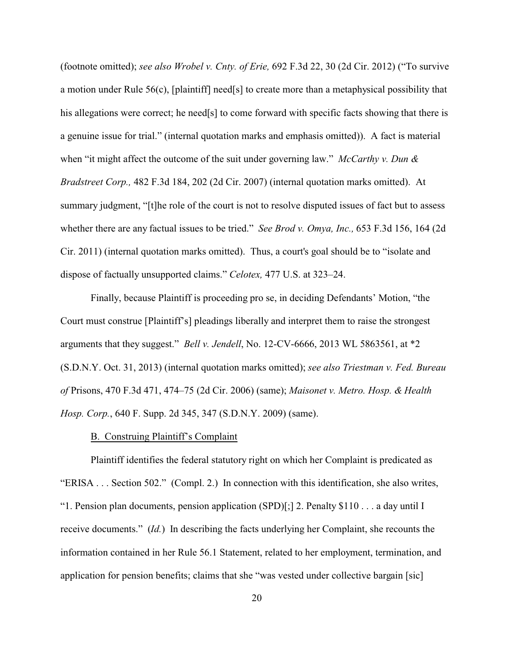(footnote omitted); *see also Wrobel v. Cnty. of Erie,* 692 F.3d 22, 30 (2d Cir. 2012) ("To survive a motion under Rule 56(c), [plaintiff] need[s] to create more than a metaphysical possibility that his allegations were correct; he need[s] to come forward with specific facts showing that there is a genuine issue for trial." (internal quotation marks and emphasis omitted)). A fact is material when "it might affect the outcome of the suit under governing law." *McCarthy v. Dun & Bradstreet Corp.,* 482 F.3d 184, 202 (2d Cir. 2007) (internal quotation marks omitted). At summary judgment, "[t]he role of the court is not to resolve disputed issues of fact but to assess whether there are any factual issues to be tried." *See Brod v. Omya, Inc.,* 653 F.3d 156, 164 (2d Cir. 2011) (internal quotation marks omitted). Thus, a court's goal should be to "isolate and dispose of factually unsupported claims." *Celotex,* 477 U.S. at 323–24.

Finally, because Plaintiff is proceeding pro se, in deciding Defendants' Motion, "the Court must construe [Plaintiff's] pleadings liberally and interpret them to raise the strongest arguments that they suggest." *Bell v. Jendell*, No. 12-CV-6666, 2013 WL 5863561, at \*2 (S.D.N.Y. Oct. 31, 2013) (internal quotation marks omitted); *see also Triestman v. Fed. Bureau of* Prisons, 470 F.3d 471, 474–75 (2d Cir. 2006) (same); *Maisonet v. Metro. Hosp. & Health Hosp. Corp.*, 640 F. Supp. 2d 345, 347 (S.D.N.Y. 2009) (same).

# B. Construing Plaintiff's Complaint

Plaintiff identifies the federal statutory right on which her Complaint is predicated as "ERISA . . . Section 502." (Compl. 2.) In connection with this identification, she also writes, "1. Pension plan documents, pension application (SPD)[;] 2. Penalty \$110 . . . a day until I receive documents." (*Id.*) In describing the facts underlying her Complaint, she recounts the information contained in her Rule 56.1 Statement, related to her employment, termination, and application for pension benefits; claims that she "was vested under collective bargain [sic]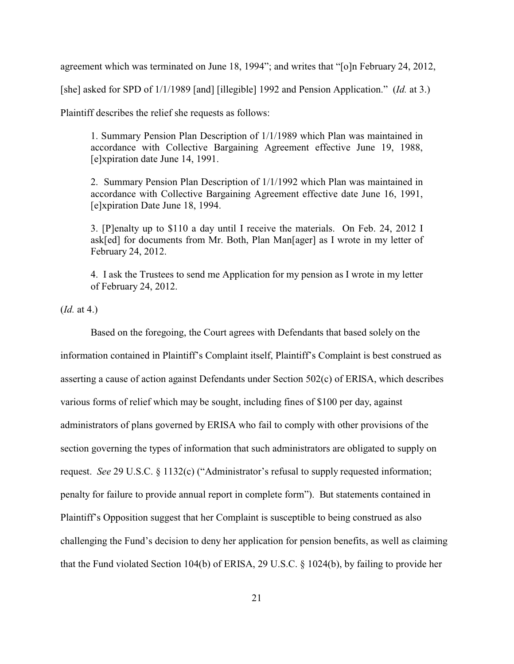agreement which was terminated on June 18, 1994"; and writes that "[o]n February 24, 2012,

[she] asked for SPD of 1/1/1989 [and] [illegible] 1992 and Pension Application." (*Id.* at 3.)

Plaintiff describes the relief she requests as follows:

1. Summary Pension Plan Description of 1/1/1989 which Plan was maintained in accordance with Collective Bargaining Agreement effective June 19, 1988, [e]xpiration date June 14, 1991.

2. Summary Pension Plan Description of 1/1/1992 which Plan was maintained in accordance with Collective Bargaining Agreement effective date June 16, 1991, [e]xpiration Date June 18, 1994.

3. [P]enalty up to \$110 a day until I receive the materials. On Feb. 24, 2012 I ask[ed] for documents from Mr. Both, Plan Man[ager] as I wrote in my letter of February 24, 2012.

4. I ask the Trustees to send me Application for my pension as I wrote in my letter of February 24, 2012.

(*Id.* at 4.)

Based on the foregoing, the Court agrees with Defendants that based solely on the information contained in Plaintiff's Complaint itself, Plaintiff's Complaint is best construed as asserting a cause of action against Defendants under Section 502(c) of ERISA, which describes various forms of relief which may be sought, including fines of \$100 per day, against administrators of plans governed by ERISA who fail to comply with other provisions of the section governing the types of information that such administrators are obligated to supply on request. *See* 29 U.S.C. § 1132(c) ("Administrator's refusal to supply requested information; penalty for failure to provide annual report in complete form"). But statements contained in Plaintiff's Opposition suggest that her Complaint is susceptible to being construed as also challenging the Fund's decision to deny her application for pension benefits, as well as claiming that the Fund violated Section 104(b) of ERISA, 29 U.S.C. § 1024(b), by failing to provide her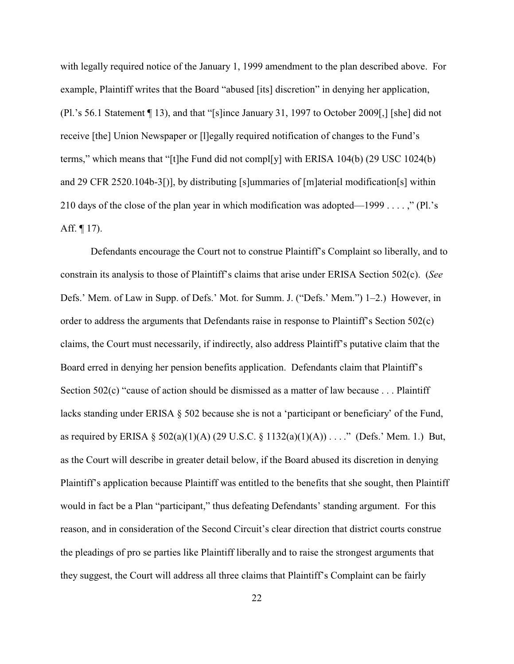with legally required notice of the January 1, 1999 amendment to the plan described above. For example, Plaintiff writes that the Board "abused [its] discretion" in denying her application, (Pl.'s 56.1 Statement ¶ 13), and that "[s]ince January 31, 1997 to October 2009[,] [she] did not receive [the] Union Newspaper or [l]egally required notification of changes to the Fund's terms," which means that "[t]he Fund did not compl[y] with ERISA 104(b) (29 USC 1024(b) and 29 CFR 2520.104b-3[)], by distributing [s]ummaries of [m]aterial modification[s] within 210 days of the close of the plan year in which modification was adopted—1999 . . . . ," (Pl.'s Aff.  $\P$  17).

Defendants encourage the Court not to construe Plaintiff's Complaint so liberally, and to constrain its analysis to those of Plaintiff's claims that arise under ERISA Section 502(c). (*See* Defs.' Mem. of Law in Supp. of Defs.' Mot. for Summ. J. ("Defs.' Mem.") 1–2.) However, in order to address the arguments that Defendants raise in response to Plaintiff's Section 502(c) claims, the Court must necessarily, if indirectly, also address Plaintiff's putative claim that the Board erred in denying her pension benefits application. Defendants claim that Plaintiff's Section 502(c) "cause of action should be dismissed as a matter of law because . . . Plaintiff lacks standing under ERISA  $\S$  502 because she is not a 'participant or beneficiary' of the Fund, as required by ERISA § 502(a)(1)(A) (29 U.S.C. § 1132(a)(1)(A)) . . . ." (Defs.' Mem. 1.) But, as the Court will describe in greater detail below, if the Board abused its discretion in denying Plaintiff's application because Plaintiff was entitled to the benefits that she sought, then Plaintiff would in fact be a Plan "participant," thus defeating Defendants' standing argument. For this reason, and in consideration of the Second Circuit's clear direction that district courts construe the pleadings of pro se parties like Plaintiff liberally and to raise the strongest arguments that they suggest, the Court will address all three claims that Plaintiff's Complaint can be fairly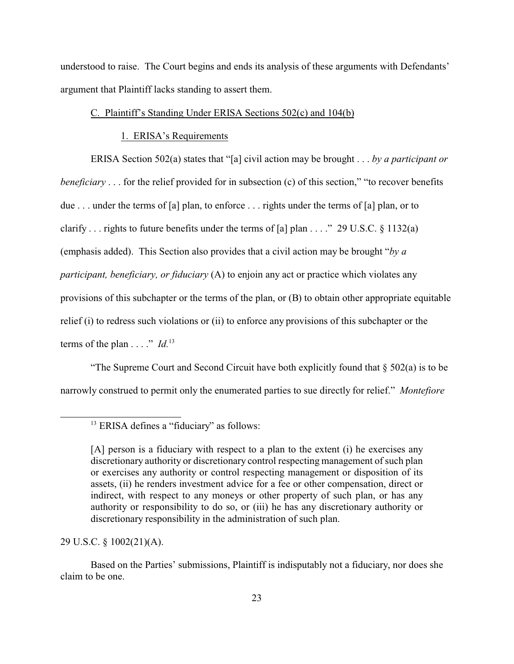understood to raise. The Court begins and ends its analysis of these arguments with Defendants' argument that Plaintiff lacks standing to assert them.

# C. Plaintiff's Standing Under ERISA Sections 502(c) and 104(b)

# 1. ERISA's Requirements

ERISA Section 502(a) states that "[a] civil action may be brought . . . *by a participant or beneficiary* . . . for the relief provided for in subsection (c) of this section," "to recover benefits due . . . under the terms of [a] plan, to enforce . . . rights under the terms of [a] plan, or to clarify . . . rights to future benefits under the terms of [a] plan . . . ." 29 U.S.C.  $\S$  1132(a) (emphasis added). This Section also provides that a civil action may be brought "*by a participant, beneficiary, or fiduciary* (A) to enjoin any act or practice which violates any provisions of this subchapter or the terms of the plan, or (B) to obtain other appropriate equitable relief (i) to redress such violations or (ii) to enforce any provisions of this subchapter or the terms of the plan  $\dots$ ." *Id.*<sup>13</sup>

"The Supreme Court and Second Circuit have both explicitly found that  $\S 502(a)$  is to be narrowly construed to permit only the enumerated parties to sue directly for relief." *Montefiore*

29 U.S.C. § 1002(21)(A).

Based on the Parties' submissions, Plaintiff is indisputably not a fiduciary, nor does she claim to be one.

<sup>&</sup>lt;sup>13</sup> ERISA defines a "fiduciary" as follows:

<sup>[</sup>A] person is a fiduciary with respect to a plan to the extent (i) he exercises any discretionary authority or discretionary control respecting management of such plan or exercises any authority or control respecting management or disposition of its assets, (ii) he renders investment advice for a fee or other compensation, direct or indirect, with respect to any moneys or other property of such plan, or has any authority or responsibility to do so, or (iii) he has any discretionary authority or discretionary responsibility in the administration of such plan.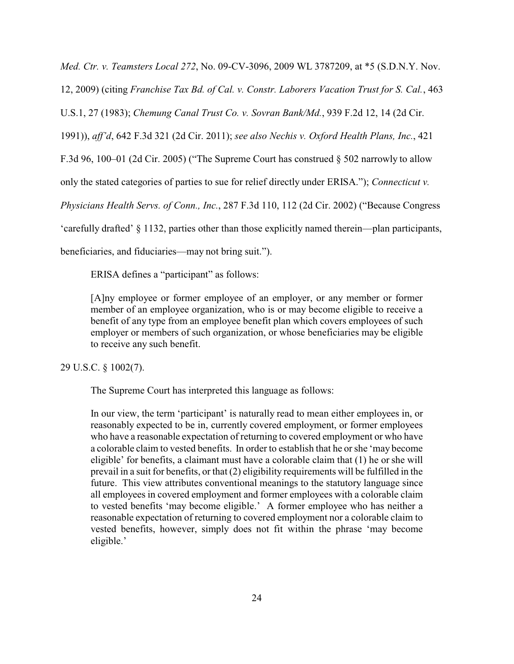*Med. Ctr. v. Teamsters Local 272*, No. 09-CV-3096, 2009 WL 3787209, at \*5 (S.D.N.Y. Nov.

12, 2009) (citing *Franchise Tax Bd. of Cal. v. Constr. Laborers Vacation Trust for S. Cal.*, 463

U.S.1, 27 (1983); *Chemung Canal Trust Co. v. Sovran Bank/Md.*, 939 F.2d 12, 14 (2d Cir.

1991)), *aff'd*, 642 F.3d 321 (2d Cir. 2011); *see also Nechis v. Oxford Health Plans, Inc.*, 421

F.3d 96, 100–01 (2d Cir. 2005) ("The Supreme Court has construed  $\S$  502 narrowly to allow

only the stated categories of parties to sue for relief directly under ERISA."); *Connecticut v.*

*Physicians Health Servs. of Conn., Inc.*, 287 F.3d 110, 112 (2d Cir. 2002) ("Because Congress

'carefully drafted' § 1132, parties other than those explicitly named therein—plan participants,

beneficiaries, and fiduciaries—may not bring suit.").

ERISA defines a "participant" as follows:

[A]ny employee or former employee of an employer, or any member or former member of an employee organization, who is or may become eligible to receive a benefit of any type from an employee benefit plan which covers employees of such employer or members of such organization, or whose beneficiaries may be eligible to receive any such benefit.

29 U.S.C. § 1002(7).

The Supreme Court has interpreted this language as follows:

In our view, the term 'participant' is naturally read to mean either employees in, or reasonably expected to be in, currently covered employment, or former employees who have a reasonable expectation of returning to covered employment or who have a colorable claim to vested benefits. In order to establish that he or she 'may become eligible' for benefits, a claimant must have a colorable claim that (1) he or she will prevail in a suit for benefits, or that (2) eligibility requirements will be fulfilled in the future. This view attributes conventional meanings to the statutory language since all employees in covered employment and former employees with a colorable claim to vested benefits 'may become eligible.' A former employee who has neither a reasonable expectation of returning to covered employment nor a colorable claim to vested benefits, however, simply does not fit within the phrase 'may become eligible.'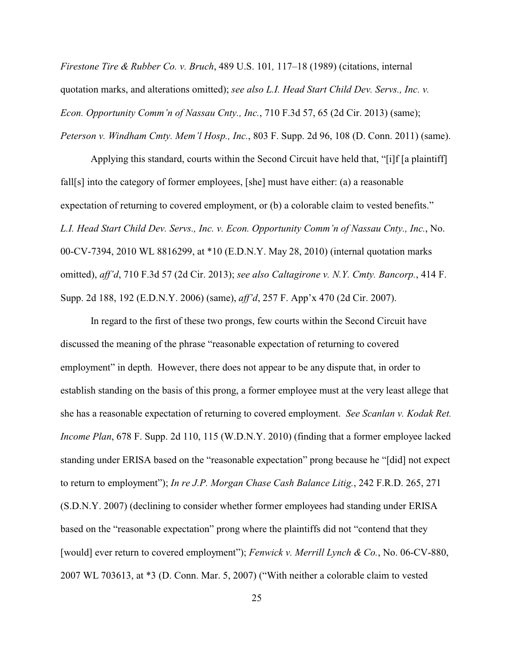*Firestone Tire & Rubber Co. v. Bruch*, 489 U.S. 101*,* 117–18 (1989) (citations, internal quotation marks, and alterations omitted); *see also L.I. Head Start Child Dev. Servs., Inc. v. Econ. Opportunity Comm'n of Nassau Cnty., Inc.*, 710 F.3d 57, 65 (2d Cir. 2013) (same); *Peterson v. Windham Cmty. Mem'l Hosp., Inc.*, 803 F. Supp. 2d 96, 108 (D. Conn. 2011) (same).

Applying this standard, courts within the Second Circuit have held that, "[i]f [a plaintiff] fall[s] into the category of former employees, [she] must have either: (a) a reasonable expectation of returning to covered employment, or (b) a colorable claim to vested benefits." *L.I. Head Start Child Dev. Servs., Inc. v. Econ. Opportunity Comm'n of Nassau Cnty., Inc.*, No. 00-CV-7394, 2010 WL 8816299, at \*10 (E.D.N.Y. May 28, 2010) (internal quotation marks omitted), *aff'd*, 710 F.3d 57 (2d Cir. 2013); *see also Caltagirone v. N.Y. Cmty. Bancorp.*, 414 F. Supp. 2d 188, 192 (E.D.N.Y. 2006) (same), *aff'd*, 257 F. App'x 470 (2d Cir. 2007).

In regard to the first of these two prongs, few courts within the Second Circuit have discussed the meaning of the phrase "reasonable expectation of returning to covered employment" in depth. However, there does not appear to be any dispute that, in order to establish standing on the basis of this prong, a former employee must at the very least allege that she has a reasonable expectation of returning to covered employment. *See Scanlan v. Kodak Ret. Income Plan*, 678 F. Supp. 2d 110, 115 (W.D.N.Y. 2010) (finding that a former employee lacked standing under ERISA based on the "reasonable expectation" prong because he "[did] not expect to return to employment"); *In re J.P. Morgan Chase Cash Balance Litig.*, 242 F.R.D. 265, 271 (S.D.N.Y. 2007) (declining to consider whether former employees had standing under ERISA based on the "reasonable expectation" prong where the plaintiffs did not "contend that they [would] ever return to covered employment"); *Fenwick v. Merrill Lynch & Co.*, No. 06-CV-880, 2007 WL 703613, at \*3 (D. Conn. Mar. 5, 2007) ("With neither a colorable claim to vested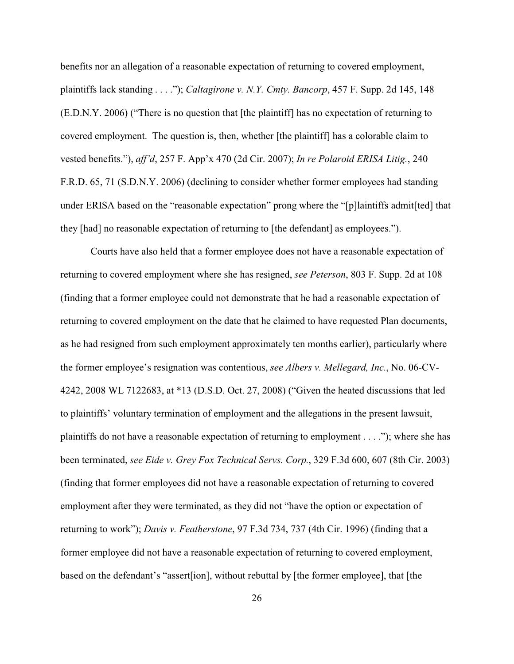benefits nor an allegation of a reasonable expectation of returning to covered employment, plaintiffs lack standing . . . ."); *Caltagirone v. N.Y. Cmty. Bancorp*, 457 F. Supp. 2d 145, 148 (E.D.N.Y. 2006) ("There is no question that [the plaintiff] has no expectation of returning to covered employment. The question is, then, whether [the plaintiff] has a colorable claim to vested benefits."), *aff'd*, 257 F. App'x 470 (2d Cir. 2007); *In re Polaroid ERISA Litig.*, 240 F.R.D. 65, 71 (S.D.N.Y. 2006) (declining to consider whether former employees had standing under ERISA based on the "reasonable expectation" prong where the "[p]laintiffs admit[ted] that they [had] no reasonable expectation of returning to [the defendant] as employees.").

Courts have also held that a former employee does not have a reasonable expectation of returning to covered employment where she has resigned, *see Peterson*, 803 F. Supp. 2d at 108 (finding that a former employee could not demonstrate that he had a reasonable expectation of returning to covered employment on the date that he claimed to have requested Plan documents, as he had resigned from such employment approximately ten months earlier), particularly where the former employee's resignation was contentious, *see Albers v. Mellegard, Inc.*, No. 06-CV-4242, 2008 WL 7122683, at \*13 (D.S.D. Oct. 27, 2008) ("Given the heated discussions that led to plaintiffs' voluntary termination of employment and the allegations in the present lawsuit, plaintiffs do not have a reasonable expectation of returning to employment . . . ."); where she has been terminated, *see Eide v. Grey Fox Technical Servs. Corp.*, 329 F.3d 600, 607 (8th Cir. 2003) (finding that former employees did not have a reasonable expectation of returning to covered employment after they were terminated, as they did not "have the option or expectation of returning to work"); *Davis v. Featherstone*, 97 F.3d 734, 737 (4th Cir. 1996) (finding that a former employee did not have a reasonable expectation of returning to covered employment, based on the defendant's "assert[ion], without rebuttal by [the former employee], that [the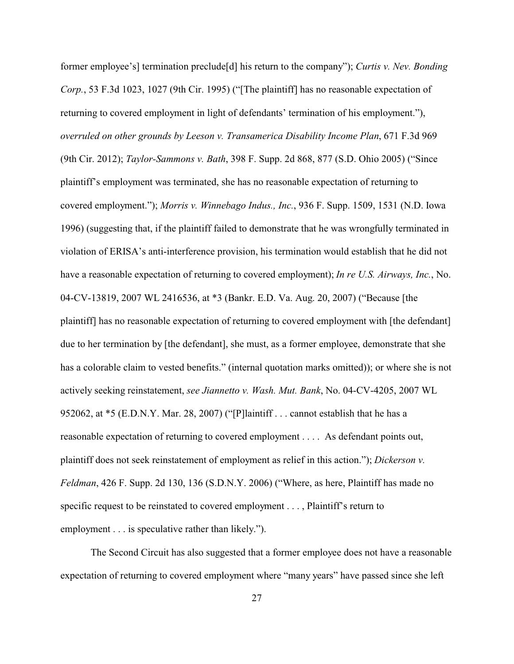former employee's] termination preclude[d] his return to the company"); *Curtis v. Nev. Bonding Corp.*, 53 F.3d 1023, 1027 (9th Cir. 1995) ("[The plaintiff] has no reasonable expectation of returning to covered employment in light of defendants' termination of his employment."), *overruled on other grounds by Leeson v. Transamerica Disability Income Plan*, 671 F.3d 969 (9th Cir. 2012); *Taylor-Sammons v. Bath*, 398 F. Supp. 2d 868, 877 (S.D. Ohio 2005) ("Since plaintiff's employment was terminated, she has no reasonable expectation of returning to covered employment."); *Morris v. Winnebago Indus., Inc.*, 936 F. Supp. 1509, 1531 (N.D. Iowa 1996) (suggesting that, if the plaintiff failed to demonstrate that he was wrongfully terminated in violation of ERISA's anti-interference provision, his termination would establish that he did not have a reasonable expectation of returning to covered employment); *In re U.S. Airways, Inc.*, No. 04-CV-13819, 2007 WL 2416536, at \*3 (Bankr. E.D. Va. Aug. 20, 2007) ("Because [the plaintiff] has no reasonable expectation of returning to covered employment with [the defendant] due to her termination by [the defendant], she must, as a former employee, demonstrate that she has a colorable claim to vested benefits." (internal quotation marks omitted)); or where she is not actively seeking reinstatement, *see Jiannetto v. Wash. Mut. Bank*, No. 04-CV-4205, 2007 WL 952062, at \*5 (E.D.N.Y. Mar. 28, 2007) ("[P]laintiff . . . cannot establish that he has a reasonable expectation of returning to covered employment . . . . As defendant points out, plaintiff does not seek reinstatement of employment as relief in this action."); *Dickerson v. Feldman*, 426 F. Supp. 2d 130, 136 (S.D.N.Y. 2006) ("Where, as here, Plaintiff has made no specific request to be reinstated to covered employment . . . , Plaintiff's return to employment . . . is speculative rather than likely.").

The Second Circuit has also suggested that a former employee does not have a reasonable expectation of returning to covered employment where "many years" have passed since she left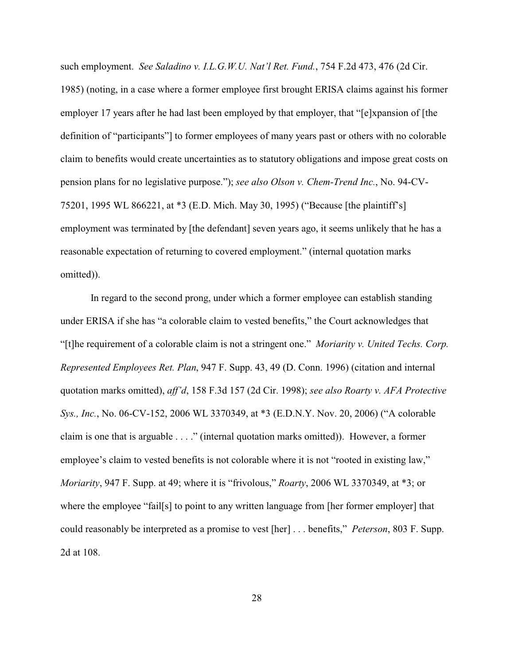such employment. *See Saladino v. I.L.G.W.U. Nat'l Ret. Fund.*, 754 F.2d 473, 476 (2d Cir. 1985) (noting, in a case where a former employee first brought ERISA claims against his former employer 17 years after he had last been employed by that employer, that "[e]xpansion of [the definition of "participants"] to former employees of many years past or others with no colorable claim to benefits would create uncertainties as to statutory obligations and impose great costs on pension plans for no legislative purpose."); *see also Olson v. Chem-Trend Inc.*, No. 94-CV-75201, 1995 WL 866221, at \*3 (E.D. Mich. May 30, 1995) ("Because [the plaintiff's] employment was terminated by [the defendant] seven years ago, it seems unlikely that he has a reasonable expectation of returning to covered employment." (internal quotation marks omitted)).

In regard to the second prong, under which a former employee can establish standing under ERISA if she has "a colorable claim to vested benefits," the Court acknowledges that "[t]he requirement of a colorable claim is not a stringent one." *Moriarity v. United Techs. Corp. Represented Employees Ret. Plan*, 947 F. Supp. 43, 49 (D. Conn. 1996) (citation and internal quotation marks omitted), *aff'd*, 158 F.3d 157 (2d Cir. 1998); *see also Roarty v. AFA Protective Sys., Inc.*, No. 06-CV-152, 2006 WL 3370349, at \*3 (E.D.N.Y. Nov. 20, 2006) ("A colorable claim is one that is arguable . . . ." (internal quotation marks omitted)). However, a former employee's claim to vested benefits is not colorable where it is not "rooted in existing law," *Moriarity*, 947 F. Supp. at 49; where it is "frivolous," *Roarty*, 2006 WL 3370349, at \*3; or where the employee "fail[s] to point to any written language from [her former employer] that could reasonably be interpreted as a promise to vest [her] . . . benefits," *Peterson*, 803 F. Supp. 2d at 108.

28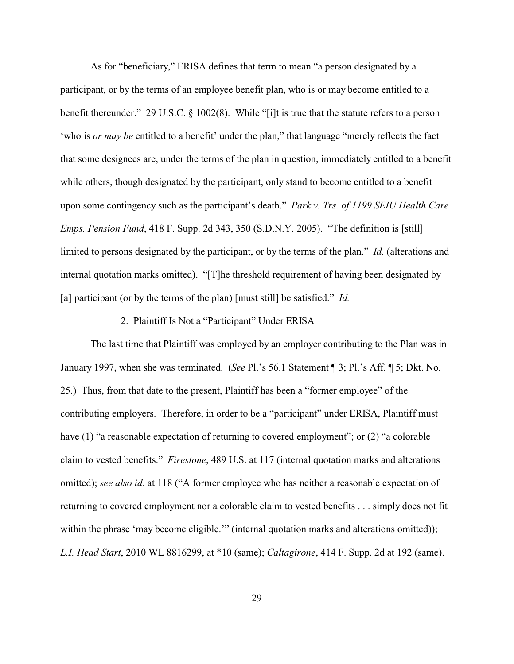As for "beneficiary," ERISA defines that term to mean "a person designated by a participant, or by the terms of an employee benefit plan, who is or may become entitled to a benefit thereunder." 29 U.S.C. § 1002(8). While "[i]t is true that the statute refers to a person 'who is *or may be* entitled to a benefit' under the plan," that language "merely reflects the fact that some designees are, under the terms of the plan in question, immediately entitled to a benefit while others, though designated by the participant, only stand to become entitled to a benefit upon some contingency such as the participant's death." *Park v. Trs. of 1199 SEIU Health Care Emps. Pension Fund*, 418 F. Supp. 2d 343, 350 (S.D.N.Y. 2005). "The definition is [still] limited to persons designated by the participant, or by the terms of the plan." *Id.* (alterations and internal quotation marks omitted). "[T]he threshold requirement of having been designated by [a] participant (or by the terms of the plan) [must still] be satisfied." *Id.*

#### 2. Plaintiff Is Not a "Participant" Under ERISA

The last time that Plaintiff was employed by an employer contributing to the Plan was in January 1997, when she was terminated. (*See* Pl.'s 56.1 Statement ¶ 3; Pl.'s Aff. ¶ 5; Dkt. No. 25.) Thus, from that date to the present, Plaintiff has been a "former employee" of the contributing employers. Therefore, in order to be a "participant" under ERISA, Plaintiff must have (1) "a reasonable expectation of returning to covered employment"; or (2) "a colorable claim to vested benefits." *Firestone*, 489 U.S. at 117 (internal quotation marks and alterations omitted); *see also id.* at 118 ("A former employee who has neither a reasonable expectation of returning to covered employment nor a colorable claim to vested benefits . . . simply does not fit within the phrase 'may become eligible.'" (internal quotation marks and alterations omitted)); *L.I. Head Start*, 2010 WL 8816299, at \*10 (same); *Caltagirone*, 414 F. Supp. 2d at 192 (same).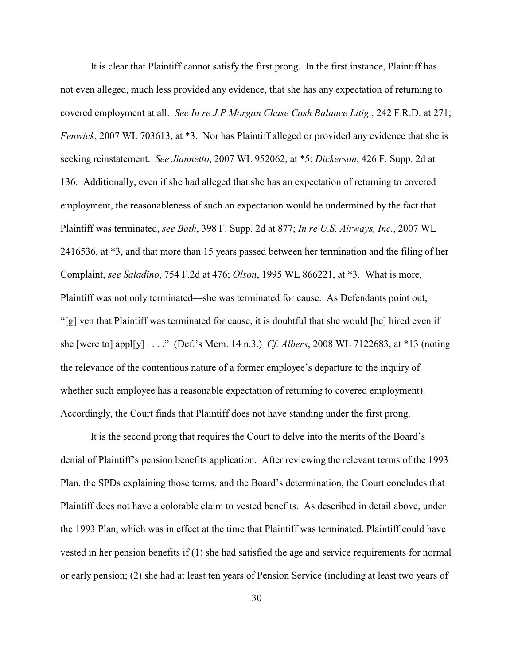It is clear that Plaintiff cannot satisfy the first prong. In the first instance, Plaintiff has not even alleged, much less provided any evidence, that she has any expectation of returning to covered employment at all. *See In re J.P Morgan Chase Cash Balance Litig.*, 242 F.R.D. at 271; *Fenwick*, 2007 WL 703613, at \*3. Nor has Plaintiff alleged or provided any evidence that she is seeking reinstatement. *See Jiannetto*, 2007 WL 952062, at \*5; *Dickerson*, 426 F. Supp. 2d at 136. Additionally, even if she had alleged that she has an expectation of returning to covered employment, the reasonableness of such an expectation would be undermined by the fact that Plaintiff was terminated, *see Bath*, 398 F. Supp. 2d at 877; *In re U.S. Airways, Inc.*, 2007 WL 2416536, at \*3, and that more than 15 years passed between her termination and the filing of her Complaint, *see Saladino*, 754 F.2d at 476; *Olson*, 1995 WL 866221, at \*3. What is more, Plaintiff was not only terminated—she was terminated for cause. As Defendants point out, "[g]iven that Plaintiff was terminated for cause, it is doubtful that she would [be] hired even if she [were to] appl[y] . . . ." (Def.'s Mem. 14 n.3.) *Cf. Albers*, 2008 WL 7122683, at \*13 (noting the relevance of the contentious nature of a former employee's departure to the inquiry of whether such employee has a reasonable expectation of returning to covered employment). Accordingly, the Court finds that Plaintiff does not have standing under the first prong.

It is the second prong that requires the Court to delve into the merits of the Board's denial of Plaintiff's pension benefits application. After reviewing the relevant terms of the 1993 Plan, the SPDs explaining those terms, and the Board's determination, the Court concludes that Plaintiff does not have a colorable claim to vested benefits. As described in detail above, under the 1993 Plan, which was in effect at the time that Plaintiff was terminated, Plaintiff could have vested in her pension benefits if (1) she had satisfied the age and service requirements for normal or early pension; (2) she had at least ten years of Pension Service (including at least two years of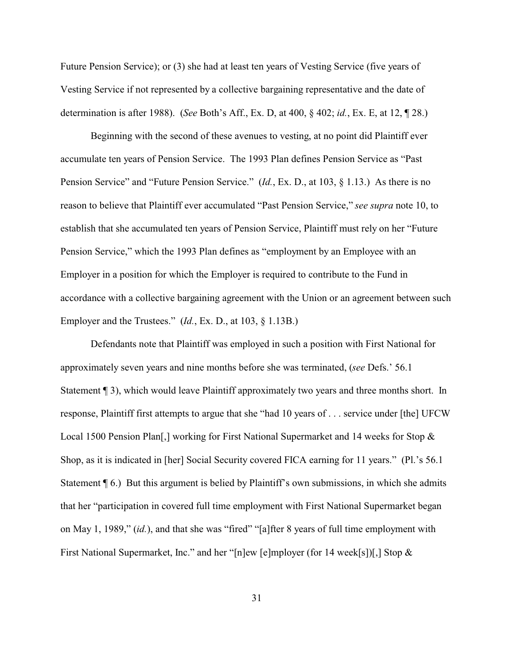Future Pension Service); or (3) she had at least ten years of Vesting Service (five years of Vesting Service if not represented by a collective bargaining representative and the date of determination is after 1988). (*See* Both's Aff., Ex. D, at 400, § 402; *id.*, Ex. E, at 12, ¶ 28.)

Beginning with the second of these avenues to vesting, at no point did Plaintiff ever accumulate ten years of Pension Service. The 1993 Plan defines Pension Service as "Past Pension Service" and "Future Pension Service." (*Id.*, Ex. D., at 103, § 1.13.) As there is no reason to believe that Plaintiff ever accumulated "Past Pension Service," *see supra* note 10, to establish that she accumulated ten years of Pension Service, Plaintiff must rely on her "Future Pension Service," which the 1993 Plan defines as "employment by an Employee with an Employer in a position for which the Employer is required to contribute to the Fund in accordance with a collective bargaining agreement with the Union or an agreement between such Employer and the Trustees." (*Id.*, Ex. D., at 103, § 1.13B.)

Defendants note that Plaintiff was employed in such a position with First National for approximately seven years and nine months before she was terminated, (*see* Defs.' 56.1 Statement ¶ 3), which would leave Plaintiff approximately two years and three months short. In response, Plaintiff first attempts to argue that she "had 10 years of . . . service under [the] UFCW Local 1500 Pension Plan[,] working for First National Supermarket and 14 weeks for Stop & Shop, as it is indicated in [her] Social Security covered FICA earning for 11 years." (Pl.'s 56.1 Statement ¶ 6.) But this argument is belied by Plaintiff's own submissions, in which she admits that her "participation in covered full time employment with First National Supermarket began on May 1, 1989," (*id.*), and that she was "fired" "[a]fter 8 years of full time employment with First National Supermarket, Inc." and her "[n]ew [e]mployer (for 14 week[s])[,] Stop &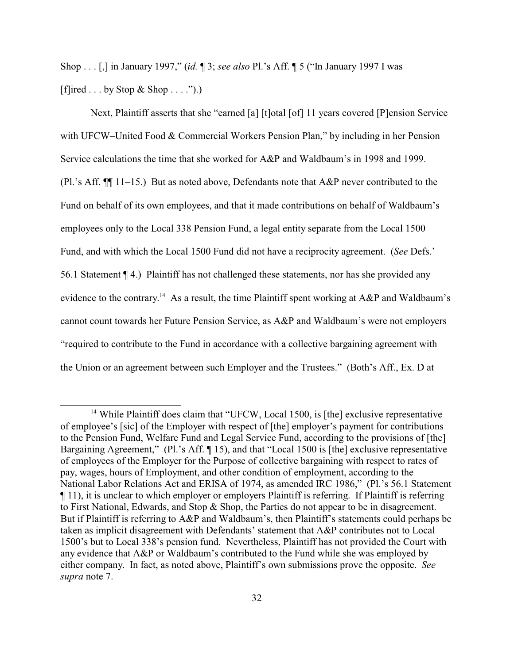Shop . . . [,] in January 1997," (*id.* ¶ 3; *see also* Pl.'s Aff. ¶ 5 ("In January 1997 I was [f]ired  $\dots$  by Stop & Shop  $\dots$  .").)

Next, Plaintiff asserts that she "earned [a] [t]otal [of] 11 years covered [P]ension Service with UFCW–United Food & Commercial Workers Pension Plan," by including in her Pension Service calculations the time that she worked for A&P and Waldbaum's in 1998 and 1999. (Pl.'s Aff. ¶¶ 11–15.) But as noted above, Defendants note that A&P never contributed to the Fund on behalf of its own employees, and that it made contributions on behalf of Waldbaum's employees only to the Local 338 Pension Fund, a legal entity separate from the Local 1500 Fund, and with which the Local 1500 Fund did not have a reciprocity agreement. (*See* Defs.' 56.1 Statement ¶ 4.) Plaintiff has not challenged these statements, nor has she provided any evidence to the contrary.<sup>14</sup> As a result, the time Plaintiff spent working at  $A\&P$  and Waldbaum's cannot count towards her Future Pension Service, as A&P and Waldbaum's were not employers "required to contribute to the Fund in accordance with a collective bargaining agreement with the Union or an agreement between such Employer and the Trustees." (Both's Aff., Ex. D at

<sup>&</sup>lt;sup>14</sup> While Plaintiff does claim that "UFCW, Local 1500, is [the] exclusive representative of employee's [sic] of the Employer with respect of [the] employer's payment for contributions to the Pension Fund, Welfare Fund and Legal Service Fund, according to the provisions of [the] Bargaining Agreement," (Pl.'s Aff. ¶ 15), and that "Local 1500 is [the] exclusive representative of employees of the Employer for the Purpose of collective bargaining with respect to rates of pay, wages, hours of Employment, and other condition of employment, according to the National Labor Relations Act and ERISA of 1974, as amended IRC 1986," (Pl.'s 56.1 Statement ¶ 11), it is unclear to which employer or employers Plaintiff is referring. If Plaintiff is referring to First National, Edwards, and Stop & Shop, the Parties do not appear to be in disagreement. But if Plaintiff is referring to A&P and Waldbaum's, then Plaintiff's statements could perhaps be taken as implicit disagreement with Defendants' statement that A&P contributes not to Local 1500's but to Local 338's pension fund. Nevertheless, Plaintiff has not provided the Court with any evidence that A&P or Waldbaum's contributed to the Fund while she was employed by either company. In fact, as noted above, Plaintiff's own submissions prove the opposite. *See supra* note 7.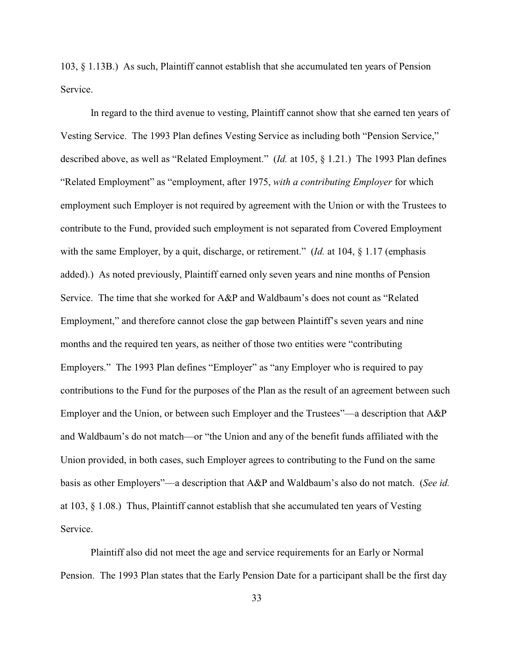103, § 1.13B.) As such, Plaintiff cannot establish that she accumulated ten years of Pension Service.

In regard to the third avenue to vesting, Plaintiff cannot show that she earned ten years of Vesting Service. The 1993 Plan defines Vesting Service as including both "Pension Service," described above, as well as "Related Employment." (*Id.* at 105, § 1.21.) The 1993 Plan defines "Related Employment" as "employment, after 1975, *with a contributing Employer* for which employment such Employer is not required by agreement with the Union or with the Trustees to contribute to the Fund, provided such employment is not separated from Covered Employment with the same Employer, by a quit, discharge, or retirement." (*Id.* at 104, § 1.17 (emphasis added).) As noted previously, Plaintiff earned only seven years and nine months of Pension Service. The time that she worked for A&P and Waldbaum's does not count as "Related Employment," and therefore cannot close the gap between Plaintiff's seven years and nine months and the required ten years, as neither of those two entities were "contributing Employers." The 1993 Plan defines "Employer" as "any Employer who is required to pay contributions to the Fund for the purposes of the Plan as the result of an agreement between such Employer and the Union, or between such Employer and the Trustees"—a description that A&P and Waldbaum's do not match—or "the Union and any of the benefit funds affiliated with the Union provided, in both cases, such Employer agrees to contributing to the Fund on the same basis as other Employers"—a description that A&P and Waldbaum's also do not match. (*See id.* at 103, § 1.08.) Thus, Plaintiff cannot establish that she accumulated ten years of Vesting Service.

Plaintiff also did not meet the age and service requirements for an Early or Normal Pension. The 1993 Plan states that the Early Pension Date for a participant shall be the first day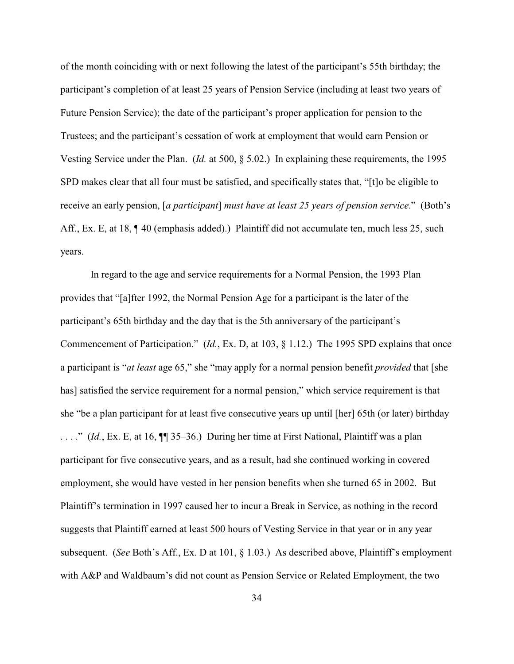of the month coinciding with or next following the latest of the participant's 55th birthday; the participant's completion of at least 25 years of Pension Service (including at least two years of Future Pension Service); the date of the participant's proper application for pension to the Trustees; and the participant's cessation of work at employment that would earn Pension or Vesting Service under the Plan. (*Id.* at 500, § 5.02.) In explaining these requirements, the 1995 SPD makes clear that all four must be satisfied, and specifically states that, "[t]o be eligible to receive an early pension, [*a participant*] *must have at least 25 years of pension service*." (Both's Aff., Ex. E, at 18,  $\P$  40 (emphasis added).) Plaintiff did not accumulate ten, much less 25, such years.

In regard to the age and service requirements for a Normal Pension, the 1993 Plan provides that "[a]fter 1992, the Normal Pension Age for a participant is the later of the participant's 65th birthday and the day that is the 5th anniversary of the participant's Commencement of Participation." (*Id.*, Ex. D, at 103, § 1.12.) The 1995 SPD explains that once a participant is "*at least* age 65," she "may apply for a normal pension benefit *provided* that [she has] satisfied the service requirement for a normal pension," which service requirement is that she "be a plan participant for at least five consecutive years up until [her] 65th (or later) birthday . . . ." (*Id.*, Ex. E, at 16, ¶¶ 35–36.) During her time at First National, Plaintiff was a plan participant for five consecutive years, and as a result, had she continued working in covered employment, she would have vested in her pension benefits when she turned 65 in 2002. But Plaintiff's termination in 1997 caused her to incur a Break in Service, as nothing in the record suggests that Plaintiff earned at least 500 hours of Vesting Service in that year or in any year subsequent. (*See* Both's Aff., Ex. D at 101, § 1.03.) As described above, Plaintiff's employment with A&P and Waldbaum's did not count as Pension Service or Related Employment, the two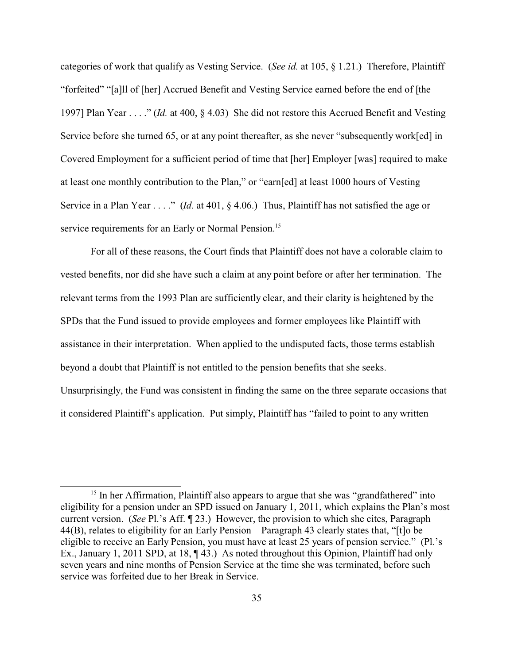categories of work that qualify as Vesting Service. (*See id.* at 105, § 1.21.) Therefore, Plaintiff "forfeited" "[a]ll of [her] Accrued Benefit and Vesting Service earned before the end of [the 1997] Plan Year . . . ." (*Id.* at 400, § 4.03) She did not restore this Accrued Benefit and Vesting Service before she turned 65, or at any point thereafter, as she never "subsequently work[ed] in Covered Employment for a sufficient period of time that [her] Employer [was] required to make at least one monthly contribution to the Plan," or "earn[ed] at least 1000 hours of Vesting Service in a Plan Year . . . ." (*Id.* at 401, § 4.06.) Thus, Plaintiff has not satisfied the age or service requirements for an Early or Normal Pension.<sup>15</sup>

For all of these reasons, the Court finds that Plaintiff does not have a colorable claim to vested benefits, nor did she have such a claim at any point before or after her termination. The relevant terms from the 1993 Plan are sufficiently clear, and their clarity is heightened by the SPDs that the Fund issued to provide employees and former employees like Plaintiff with assistance in their interpretation. When applied to the undisputed facts, those terms establish beyond a doubt that Plaintiff is not entitled to the pension benefits that she seeks. Unsurprisingly, the Fund was consistent in finding the same on the three separate occasions that it considered Plaintiff's application. Put simply, Plaintiff has "failed to point to any written

<sup>&</sup>lt;sup>15</sup> In her Affirmation, Plaintiff also appears to argue that she was "grandfathered" into eligibility for a pension under an SPD issued on January 1, 2011, which explains the Plan's most current version. (*See* Pl.'s Aff. ¶ 23.) However, the provision to which she cites, Paragraph 44(B), relates to eligibility for an Early Pension—Paragraph 43 clearly states that, "[t]o be eligible to receive an Early Pension, you must have at least 25 years of pension service." (Pl.'s Ex., January 1, 2011 SPD, at 18, ¶ 43.) As noted throughout this Opinion, Plaintiff had only seven years and nine months of Pension Service at the time she was terminated, before such service was forfeited due to her Break in Service.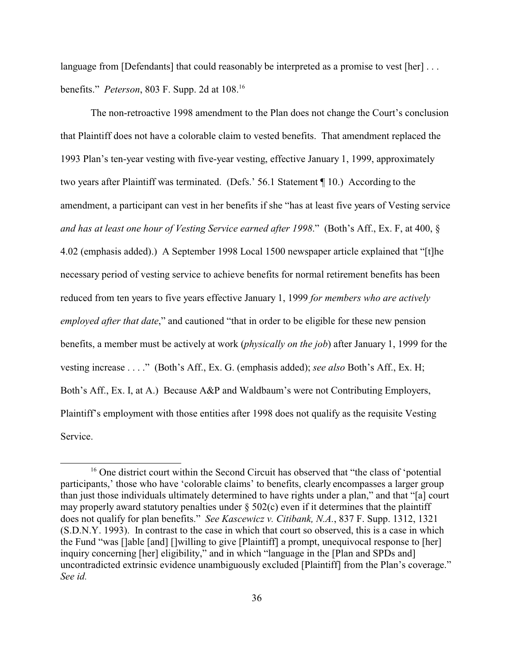language from [Defendants] that could reasonably be interpreted as a promise to vest [her] ... benefits." *Peterson*, 803 F. Supp. 2d at 108.<sup>16</sup>

The non-retroactive 1998 amendment to the Plan does not change the Court's conclusion that Plaintiff does not have a colorable claim to vested benefits. That amendment replaced the 1993 Plan's ten-year vesting with five-year vesting, effective January 1, 1999, approximately two years after Plaintiff was terminated. (Defs.' 56.1 Statement ¶ 10.) According to the amendment, a participant can vest in her benefits if she "has at least five years of Vesting service *and has at least one hour of Vesting Service earned after 1998*." (Both's Aff., Ex. F, at 400, § 4.02 (emphasis added).) A September 1998 Local 1500 newspaper article explained that "[t]he necessary period of vesting service to achieve benefits for normal retirement benefits has been reduced from ten years to five years effective January 1, 1999 *for members who are actively employed after that date*," and cautioned "that in order to be eligible for these new pension benefits, a member must be actively at work (*physically on the job*) after January 1, 1999 for the vesting increase . . . ." (Both's Aff., Ex. G. (emphasis added); *see also* Both's Aff., Ex. H; Both's Aff., Ex. I, at A.) Because A&P and Waldbaum's were not Contributing Employers, Plaintiff's employment with those entities after 1998 does not qualify as the requisite Vesting Service.

<sup>&</sup>lt;sup>16</sup> One district court within the Second Circuit has observed that "the class of 'potential participants,' those who have 'colorable claims' to benefits, clearly encompasses a larger group than just those individuals ultimately determined to have rights under a plan," and that "[a] court may properly award statutory penalties under  $\S$  502(c) even if it determines that the plaintiff does not qualify for plan benefits." *See Kascewicz v. Citibank, N.A.*, 837 F. Supp. 1312, 1321 (S.D.N.Y. 1993). In contrast to the case in which that court so observed, this is a case in which the Fund "was []able [and] []willing to give [Plaintiff] a prompt, unequivocal response to [her] inquiry concerning [her] eligibility," and in which "language in the [Plan and SPDs and] uncontradicted extrinsic evidence unambiguously excluded [Plaintiff] from the Plan's coverage." *See id.*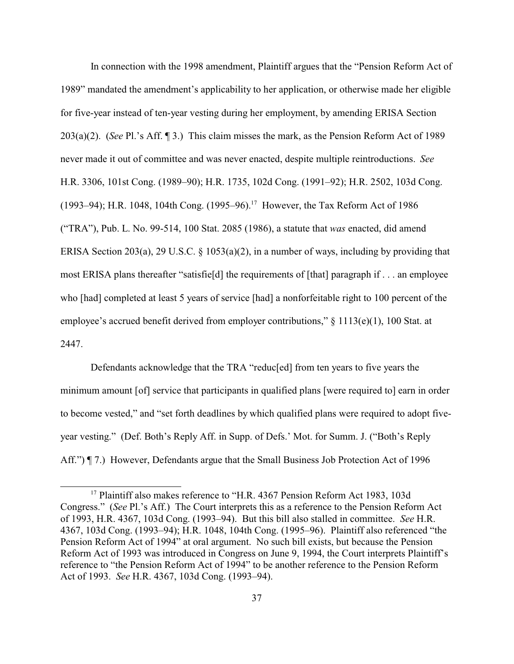In connection with the 1998 amendment, Plaintiff argues that the "Pension Reform Act of 1989" mandated the amendment's applicability to her application, or otherwise made her eligible for five-year instead of ten-year vesting during her employment, by amending ERISA Section 203(a)(2). (*See* Pl.'s Aff. ¶ 3.) This claim misses the mark, as the Pension Reform Act of 1989 never made it out of committee and was never enacted, despite multiple reintroductions. *See* H.R. 3306, 101st Cong. (1989–90); H.R. 1735, 102d Cong. (1991–92); H.R. 2502, 103d Cong. (1993–94); H.R. 1048, 104th Cong. (1995–96).<sup>17</sup> However, the Tax Reform Act of 1986 ("TRA"), Pub. L. No. 99-514, 100 Stat. 2085 (1986), a statute that *was* enacted, did amend ERISA Section 203(a), 29 U.S.C.  $\S$  1053(a)(2), in a number of ways, including by providing that most ERISA plans thereafter "satisfie[d] the requirements of [that] paragraph if . . . an employee who [had] completed at least 5 years of service [had] a nonforfeitable right to 100 percent of the employee's accrued benefit derived from employer contributions," § 1113(e)(1), 100 Stat. at 2447.

Defendants acknowledge that the TRA "reduc[ed] from ten years to five years the minimum amount [of] service that participants in qualified plans [were required to] earn in order to become vested," and "set forth deadlines by which qualified plans were required to adopt fiveyear vesting." (Def. Both's Reply Aff. in Supp. of Defs.' Mot. for Summ. J. ("Both's Reply Aff.")  $\P$  7.) However, Defendants argue that the Small Business Job Protection Act of 1996

<sup>&</sup>lt;sup>17</sup> Plaintiff also makes reference to "H.R. 4367 Pension Reform Act 1983, 103d Congress." (*See* Pl.'s Aff.) The Court interprets this as a reference to the Pension Reform Act of 1993, H.R. 4367, 103d Cong. (1993–94). But this bill also stalled in committee. *See* H.R. 4367, 103d Cong. (1993–94); H.R. 1048, 104th Cong. (1995–96). Plaintiff also referenced "the Pension Reform Act of 1994" at oral argument. No such bill exists, but because the Pension Reform Act of 1993 was introduced in Congress on June 9, 1994, the Court interprets Plaintiff's reference to "the Pension Reform Act of 1994" to be another reference to the Pension Reform Act of 1993. *See* H.R. 4367, 103d Cong. (1993–94).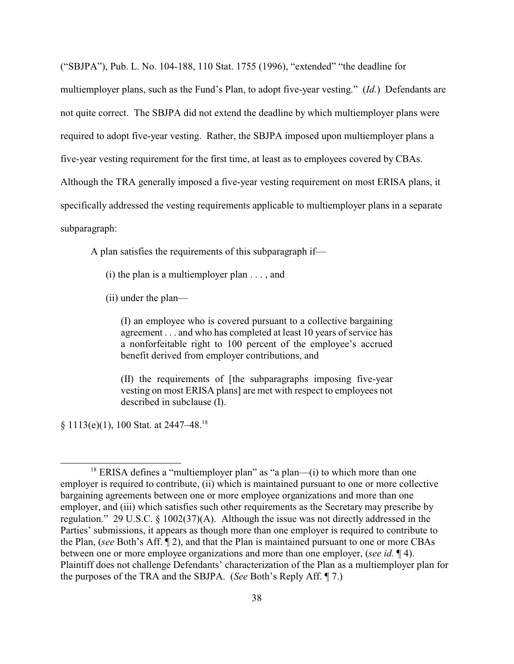("SBJPA"), Pub. L. No. 104-188, 110 Stat. 1755 (1996), "extended" "the deadline for multiemployer plans, such as the Fund's Plan, to adopt five-year vesting." (*Id.*) Defendants are not quite correct. The SBJPA did not extend the deadline by which multiemployer plans were required to adopt five-year vesting. Rather, the SBJPA imposed upon multiemployer plans a five-year vesting requirement for the first time, at least as to employees covered by CBAs. Although the TRA generally imposed a five-year vesting requirement on most ERISA plans, it specifically addressed the vesting requirements applicable to multiemployer plans in a separate subparagraph:

A plan satisfies the requirements of this subparagraph if—

- (i) the plan is a multiemployer plan  $\dots$ , and
- (ii) under the plan—

(I) an employee who is covered pursuant to a collective bargaining agreement . . . and who has completed at least 10 years of service has a nonforfeitable right to 100 percent of the employee's accrued benefit derived from employer contributions, and

(II) the requirements of [the subparagraphs imposing five-year vesting on most ERISA plans] are met with respect to employees not described in subclause (I).

§ 1113(e)(1), 100 Stat. at 2447–48.<sup>18</sup>

 $18$  ERISA defines a "multiemployer plan" as "a plan—(i) to which more than one employer is required to contribute, (ii) which is maintained pursuant to one or more collective bargaining agreements between one or more employee organizations and more than one employer, and (iii) which satisfies such other requirements as the Secretary may prescribe by regulation." 29 U.S.C. § 1002(37)(A). Although the issue was not directly addressed in the Parties' submissions, it appears as though more than one employer is required to contribute to the Plan, (*see* Both's Aff. ¶ 2), and that the Plan is maintained pursuant to one or more CBAs between one or more employee organizations and more than one employer, (*see id.* ¶ 4). Plaintiff does not challenge Defendants' characterization of the Plan as a multiemployer plan for the purposes of the TRA and the SBJPA. (*See* Both's Reply Aff. ¶ 7.)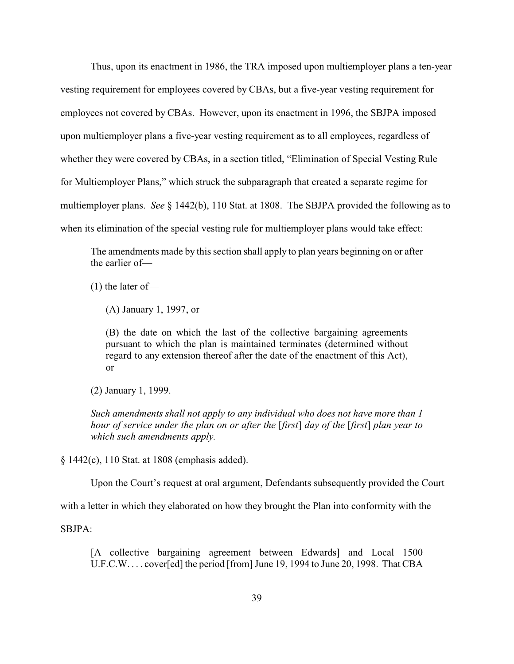Thus, upon its enactment in 1986, the TRA imposed upon multiemployer plans a ten-year vesting requirement for employees covered by CBAs, but a five-year vesting requirement for employees not covered by CBAs. However, upon its enactment in 1996, the SBJPA imposed upon multiemployer plans a five-year vesting requirement as to all employees, regardless of whether they were covered by CBAs, in a section titled, "Elimination of Special Vesting Rule for Multiemployer Plans," which struck the subparagraph that created a separate regime for multiemployer plans. *See* § 1442(b), 110 Stat. at 1808. The SBJPA provided the following as to when its elimination of the special vesting rule for multiemployer plans would take effect:

The amendments made by this section shall apply to plan years beginning on or after the earlier of—

(1) the later of—

(A) January 1, 1997, or

(B) the date on which the last of the collective bargaining agreements pursuant to which the plan is maintained terminates (determined without regard to any extension thereof after the date of the enactment of this Act), or

(2) January 1, 1999.

*Such amendments shall not apply to any individual who does not have more than 1 hour of service under the plan on or after the* [*first*] *day of the* [*first*] *plan year to which such amendments apply.*

§ 1442(c), 110 Stat. at 1808 (emphasis added).

Upon the Court's request at oral argument, Defendants subsequently provided the Court

with a letter in which they elaborated on how they brought the Plan into conformity with the

SBJPA:

[A collective bargaining agreement between Edwards] and Local 1500 U.F.C.W. . . . cover[ed] the period [from] June 19, 1994 to June 20, 1998. That CBA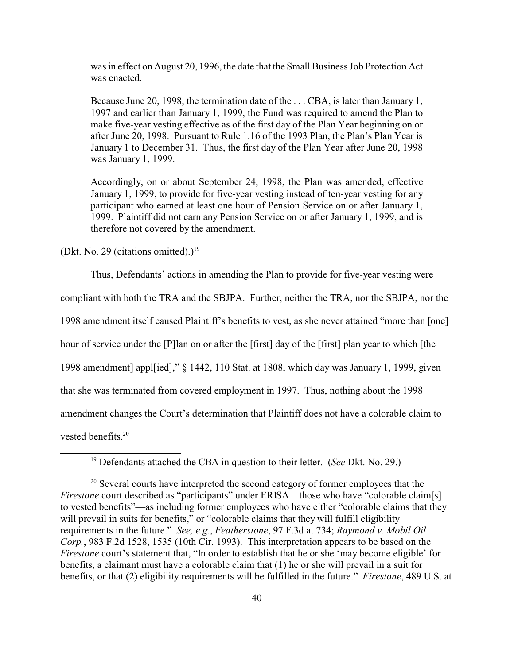was in effect on August 20, 1996, the date that the Small Business Job Protection Act was enacted.

Because June 20, 1998, the termination date of the . . . CBA, is later than January 1, 1997 and earlier than January 1, 1999, the Fund was required to amend the Plan to make five-year vesting effective as of the first day of the Plan Year beginning on or after June 20, 1998. Pursuant to Rule 1.16 of the 1993 Plan, the Plan's Plan Year is January 1 to December 31. Thus, the first day of the Plan Year after June 20, 1998 was January 1, 1999.

Accordingly, on or about September 24, 1998, the Plan was amended, effective January 1, 1999, to provide for five-year vesting instead of ten-year vesting for any participant who earned at least one hour of Pension Service on or after January 1, 1999. Plaintiff did not earn any Pension Service on or after January 1, 1999, and is therefore not covered by the amendment.

(Dkt. No. 29 (citations omitted).)<sup>19</sup>

Thus, Defendants' actions in amending the Plan to provide for five-year vesting were

compliant with both the TRA and the SBJPA. Further, neither the TRA, nor the SBJPA, nor the

1998 amendment itself caused Plaintiff's benefits to vest, as she never attained "more than [one]

hour of service under the [P]lan on or after the [first] day of the [first] plan year to which [the

1998 amendment] appl[ied]," § 1442, 110 Stat. at 1808, which day was January 1, 1999, given

that she was terminated from covered employment in 1997. Thus, nothing about the 1998

amendment changes the Court's determination that Plaintiff does not have a colorable claim to

vested benefits.<sup>20</sup>

<sup>19</sup> Defendants attached the CBA in question to their letter. (*See* Dkt. No. 29.)

<sup>&</sup>lt;sup>20</sup> Several courts have interpreted the second category of former employees that the *Firestone* court described as "participants" under ERISA—those who have "colorable claim[s] to vested benefits"—as including former employees who have either "colorable claims that they will prevail in suits for benefits," or "colorable claims that they will fulfill eligibility requirements in the future." *See, e.g.*, *Featherstone*, 97 F.3d at 734; *Raymond v. Mobil Oil Corp.*, 983 F.2d 1528, 1535 (10th Cir. 1993). This interpretation appears to be based on the *Firestone* court's statement that, "In order to establish that he or she 'may become eligible' for benefits, a claimant must have a colorable claim that (1) he or she will prevail in a suit for benefits, or that (2) eligibility requirements will be fulfilled in the future." *Firestone*, 489 U.S. at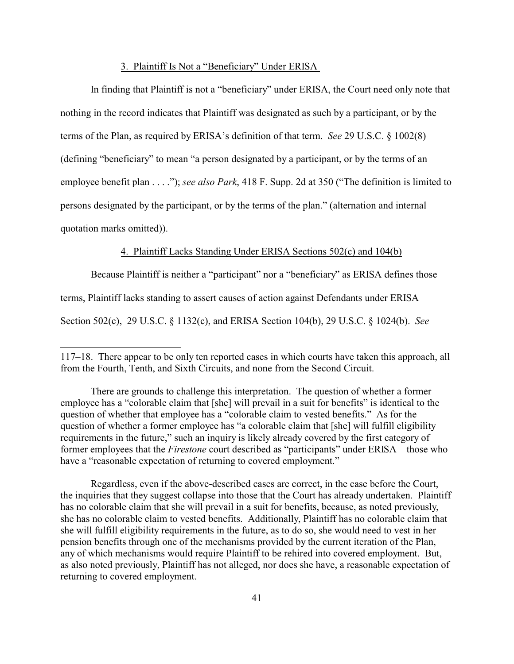### 3. Plaintiff Is Not a "Beneficiary" Under ERISA

In finding that Plaintiff is not a "beneficiary" under ERISA, the Court need only note that nothing in the record indicates that Plaintiff was designated as such by a participant, or by the terms of the Plan, as required by ERISA's definition of that term. *See* 29 U.S.C. § 1002(8) (defining "beneficiary" to mean "a person designated by a participant, or by the terms of an employee benefit plan . . . ."); *see also Park*, 418 F. Supp. 2d at 350 ("The definition is limited to persons designated by the participant, or by the terms of the plan." (alternation and internal quotation marks omitted)).

# 4. Plaintiff Lacks Standing Under ERISA Sections 502(c) and 104(b)

Because Plaintiff is neither a "participant" nor a "beneficiary" as ERISA defines those terms, Plaintiff lacks standing to assert causes of action against Defendants under ERISA Section 502(c), 29 U.S.C. § 1132(c), and ERISA Section 104(b), 29 U.S.C. § 1024(b). *See*

<sup>117–18.</sup> There appear to be only ten reported cases in which courts have taken this approach, all from the Fourth, Tenth, and Sixth Circuits, and none from the Second Circuit.

There are grounds to challenge this interpretation. The question of whether a former employee has a "colorable claim that [she] will prevail in a suit for benefits" is identical to the question of whether that employee has a "colorable claim to vested benefits." As for the question of whether a former employee has "a colorable claim that [she] will fulfill eligibility requirements in the future," such an inquiry is likely already covered by the first category of former employees that the *Firestone* court described as "participants" under ERISA—those who have a "reasonable expectation of returning to covered employment."

Regardless, even if the above-described cases are correct, in the case before the Court, the inquiries that they suggest collapse into those that the Court has already undertaken. Plaintiff has no colorable claim that she will prevail in a suit for benefits, because, as noted previously, she has no colorable claim to vested benefits. Additionally, Plaintiff has no colorable claim that she will fulfill eligibility requirements in the future, as to do so, she would need to vest in her pension benefits through one of the mechanisms provided by the current iteration of the Plan, any of which mechanisms would require Plaintiff to be rehired into covered employment. But, as also noted previously, Plaintiff has not alleged, nor does she have, a reasonable expectation of returning to covered employment.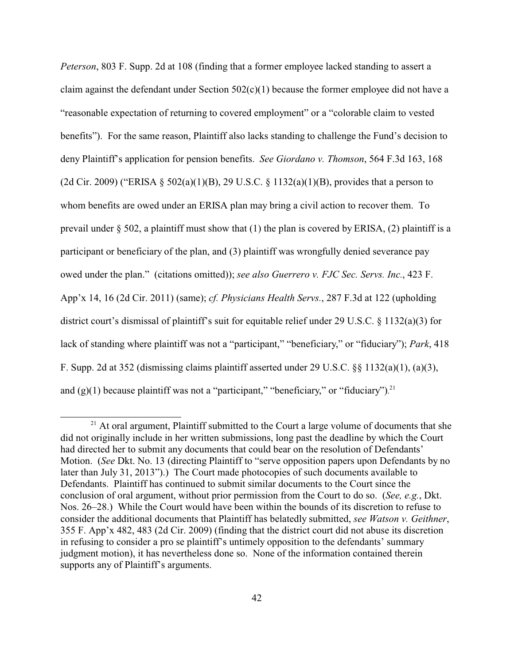*Peterson*, 803 F. Supp. 2d at 108 (finding that a former employee lacked standing to assert a claim against the defendant under Section  $502(c)(1)$  because the former employee did not have a "reasonable expectation of returning to covered employment" or a "colorable claim to vested benefits"). For the same reason, Plaintiff also lacks standing to challenge the Fund's decision to deny Plaintiff's application for pension benefits. *See Giordano v. Thomson*, 564 F.3d 163, 168 (2d Cir. 2009) ("ERISA § 502(a)(1)(B), 29 U.S.C. § 1132(a)(1)(B), provides that a person to whom benefits are owed under an ERISA plan may bring a civil action to recover them. To prevail under  $\S$  502, a plaintiff must show that (1) the plan is covered by ERISA, (2) plaintiff is a participant or beneficiary of the plan, and (3) plaintiff was wrongfully denied severance pay owed under the plan." (citations omitted)); *see also Guerrero v. FJC Sec. Servs. Inc.*, 423 F. App'x 14, 16 (2d Cir. 2011) (same); *cf. Physicians Health Servs.*, 287 F.3d at 122 (upholding district court's dismissal of plaintiff's suit for equitable relief under 29 U.S.C. § 1132(a)(3) for lack of standing where plaintiff was not a "participant," "beneficiary," or "fiduciary"); *Park*, 418 F. Supp. 2d at 352 (dismissing claims plaintiff asserted under 29 U.S.C. §§ 1132(a)(1), (a)(3), and  $(g)(1)$  because plaintiff was not a "participant," "beneficiary," or "fiduciary").<sup>21</sup>

<sup>&</sup>lt;sup>21</sup> At oral argument, Plaintiff submitted to the Court a large volume of documents that she did not originally include in her written submissions, long past the deadline by which the Court had directed her to submit any documents that could bear on the resolution of Defendants' Motion. (*See* Dkt. No. 13 (directing Plaintiff to "serve opposition papers upon Defendants by no later than July 31, 2013").) The Court made photocopies of such documents available to Defendants. Plaintiff has continued to submit similar documents to the Court since the conclusion of oral argument, without prior permission from the Court to do so. (*See, e.g.*, Dkt. Nos. 26–28.) While the Court would have been within the bounds of its discretion to refuse to consider the additional documents that Plaintiff has belatedly submitted, *see Watson v. Geithner*, 355 F. App'x 482, 483 (2d Cir. 2009) (finding that the district court did not abuse its discretion in refusing to consider a pro se plaintiff's untimely opposition to the defendants' summary judgment motion), it has nevertheless done so. None of the information contained therein supports any of Plaintiff's arguments.